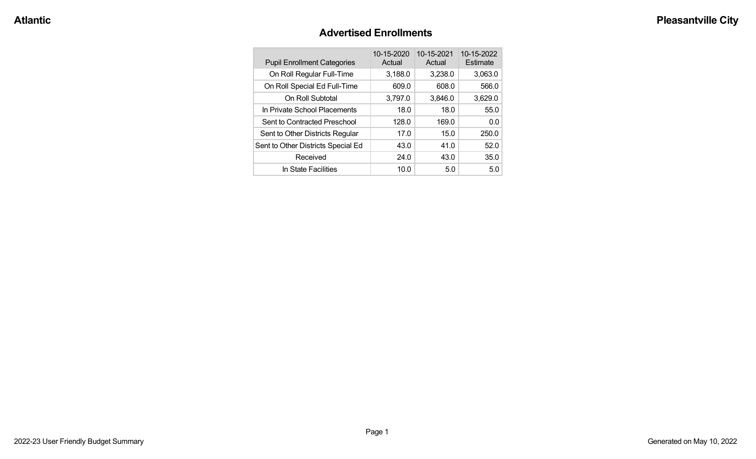#### **Advertised Enrollments**

| <b>Pupil Enrollment Categories</b> | 10-15-2020<br>Actual | 10-15-2021<br>Actual | 10-15-2022<br>Estimate |
|------------------------------------|----------------------|----------------------|------------------------|
| On Roll Regular Full-Time          | 3,188.0              | 3,238.0              | 3,063.0                |
| On Roll Special Ed Full-Time       | 609.0                | 608.0                | 566.0                  |
| On Roll Subtotal                   | 3,797.0              | 3,846.0              | 3,629.0                |
| In Private School Placements       | 18.0                 | 18.0                 | 55.0                   |
| Sent to Contracted Preschool       | 128.0                | 169.0                | 0.0                    |
| Sent to Other Districts Regular    | 17.0                 | 15.0                 | 250.0                  |
| Sent to Other Districts Special Ed | 43.0                 | 41.0                 | 52.0                   |
| Received                           | 24.0                 | 43.0                 | 35.0                   |
| In State Facilities                | 10.0                 | 5.0                  | 5.0                    |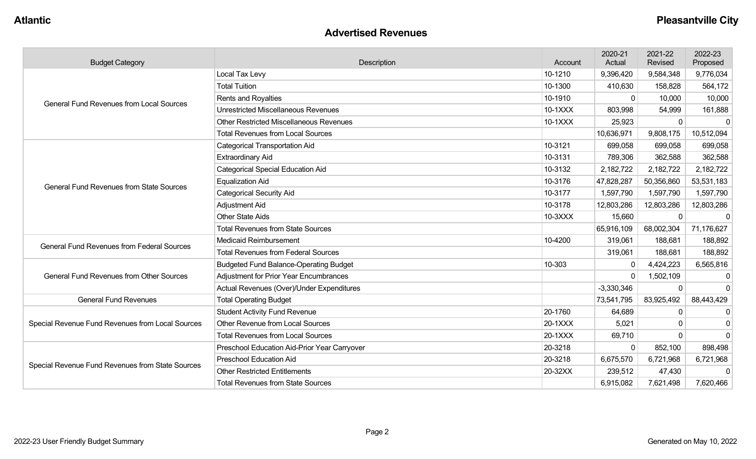#### **Advertised Revenues**

| <b>Budget Category</b>                                                                                                                                                                                                                                                                  | Description                                    | Account | 2020-21<br>Actual                                                                                                  | 2021-22<br>Revised | 2022-23<br>Proposed |
|-----------------------------------------------------------------------------------------------------------------------------------------------------------------------------------------------------------------------------------------------------------------------------------------|------------------------------------------------|---------|--------------------------------------------------------------------------------------------------------------------|--------------------|---------------------|
|                                                                                                                                                                                                                                                                                         | Local Tax Levy                                 | 10-1210 | 9,396,420                                                                                                          | 9,584,348          | 9,776,034           |
|                                                                                                                                                                                                                                                                                         | <b>Total Tuition</b>                           | 10-1300 | 410,630                                                                                                            | 158,828            | 564,172             |
|                                                                                                                                                                                                                                                                                         | <b>Rents and Royalties</b>                     | 10-1910 | $\Omega$                                                                                                           | 10,000             | 10,000              |
| <b>General Fund Revenues from Local Sources</b><br><b>General Fund Revenues from State Sources</b><br>General Fund Revenues from Federal Sources<br><b>General Fund Revenues from Other Sources</b><br><b>General Fund Revenues</b><br>Special Revenue Fund Revenues from Local Sources | <b>Unrestricted Miscellaneous Revenues</b>     | 10-1XXX | 803,998                                                                                                            | 54,999             | 161,888             |
|                                                                                                                                                                                                                                                                                         | <b>Other Restricted Miscellaneous Revenues</b> | 10-1XXX | 25,923                                                                                                             | 0                  | $\Omega$            |
|                                                                                                                                                                                                                                                                                         | <b>Total Revenues from Local Sources</b>       |         | 10,636,971                                                                                                         | 9,808,175          | 10,512,094          |
|                                                                                                                                                                                                                                                                                         | <b>Categorical Transportation Aid</b>          | 10-3121 | 699,058                                                                                                            | 699,058            | 699,058             |
|                                                                                                                                                                                                                                                                                         | <b>Extraordinary Aid</b>                       | 10-3131 | 789,306                                                                                                            | 362,588            | 362,588             |
|                                                                                                                                                                                                                                                                                         | <b>Categorical Special Education Aid</b>       | 10-3132 | 2,182,722                                                                                                          | 2,182,722          | 2,182,722           |
|                                                                                                                                                                                                                                                                                         | <b>Equalization Aid</b>                        | 10-3176 | 47,828,287                                                                                                         | 50,356,860         | 53,531,183          |
|                                                                                                                                                                                                                                                                                         | <b>Categorical Security Aid</b>                | 10-3177 | 1,597,790                                                                                                          | 1,597,790          | 1,597,790           |
|                                                                                                                                                                                                                                                                                         | Adjustment Aid                                 | 10-3178 | 12,803,286                                                                                                         | 12,803,286         | 12,803,286          |
|                                                                                                                                                                                                                                                                                         | <b>Other State Aids</b>                        | 10-3XXX | 15,660                                                                                                             | 0                  |                     |
|                                                                                                                                                                                                                                                                                         | <b>Total Revenues from State Sources</b>       |         | 65,916,109                                                                                                         | 68,002,304         | 71,176,627          |
|                                                                                                                                                                                                                                                                                         | <b>Medicaid Reimbursement</b>                  | 10-4200 | 319,061<br>319,061<br>$-3,330,346$<br>73,541,795<br>64,689<br>5,021<br>69,710<br>6,675,570<br>239,512<br>6,915,082 | 188,681            | 188,892             |
|                                                                                                                                                                                                                                                                                         | <b>Total Revenues from Federal Sources</b>     |         |                                                                                                                    | 188,681            | 188,892             |
|                                                                                                                                                                                                                                                                                         | <b>Budgeted Fund Balance-Operating Budget</b>  | 10-303  | $\mathbf{0}$                                                                                                       | 4,424,223          | 6,565,816           |
|                                                                                                                                                                                                                                                                                         | <b>Adjustment for Prior Year Encumbrances</b>  |         | $\mathbf{0}$                                                                                                       | 1,502,109          | 0                   |
|                                                                                                                                                                                                                                                                                         | Actual Revenues (Over)/Under Expenditures      |         |                                                                                                                    | $\Omega$           | $\Omega$            |
|                                                                                                                                                                                                                                                                                         | <b>Total Operating Budget</b>                  |         |                                                                                                                    | 83,925,492         | 88,443,429          |
|                                                                                                                                                                                                                                                                                         | <b>Student Activity Fund Revenue</b>           | 20-1760 |                                                                                                                    | 0                  | $\Omega$            |
|                                                                                                                                                                                                                                                                                         | Other Revenue from Local Sources               | 20-1XXX |                                                                                                                    | 0                  | $\Omega$            |
|                                                                                                                                                                                                                                                                                         | <b>Total Revenues from Local Sources</b>       | 20-1XXX | $\mathbf 0$                                                                                                        | $\Omega$           | $\Omega$            |
|                                                                                                                                                                                                                                                                                         | Preschool Education Aid-Prior Year Carryover   | 20-3218 |                                                                                                                    | 852,100            | 898,498             |
|                                                                                                                                                                                                                                                                                         | <b>Preschool Education Aid</b>                 | 20-3218 |                                                                                                                    | 6,721,968          | 6,721,968           |
| Special Revenue Fund Revenues from State Sources                                                                                                                                                                                                                                        | <b>Other Restricted Entitlements</b>           | 20-32XX |                                                                                                                    | 47,430             |                     |
|                                                                                                                                                                                                                                                                                         | <b>Total Revenues from State Sources</b>       |         |                                                                                                                    | 7,621,498          | 7,620,466           |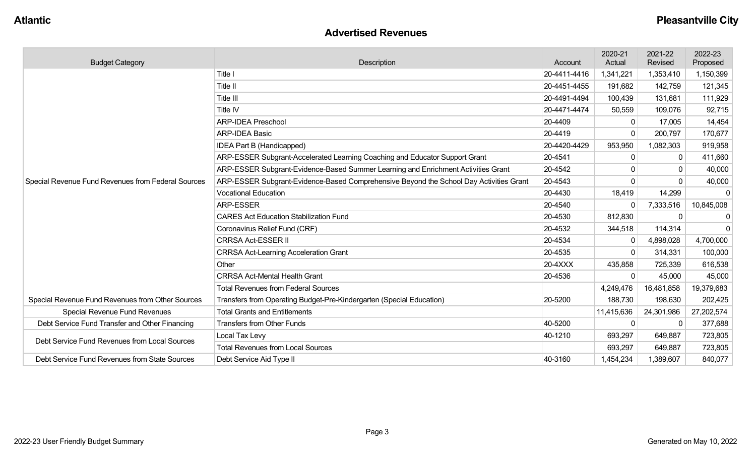#### **Advertised Revenues**

| <b>Budget Category</b>                             | Description                                                                            | Account      | 2020-21<br>Actual | 2021-22<br>Revised | 2022-23<br>Proposed |
|----------------------------------------------------|----------------------------------------------------------------------------------------|--------------|-------------------|--------------------|---------------------|
|                                                    | Title I                                                                                | 20-4411-4416 | 1,341,221         | 1,353,410          | 1,150,399           |
|                                                    | Title II                                                                               | 20-4451-4455 | 191,682           | 142,759            | 121,345             |
|                                                    | Title III                                                                              | 20-4491-4494 | 100,439           | 131,681            | 111,929             |
|                                                    | Title IV                                                                               | 20-4471-4474 | 50,559            | 109,076            | 92,715              |
|                                                    | <b>ARP-IDEA Preschool</b>                                                              | 20-4409      | 0                 | 17,005             | 14,454              |
|                                                    | <b>ARP-IDEA Basic</b>                                                                  | 20-4419      | $\Omega$          | 200,797            | 170,677             |
|                                                    | IDEA Part B (Handicapped)                                                              | 20-4420-4429 | 953,950           | 1,082,303          | 919,958             |
|                                                    | ARP-ESSER Subgrant-Accelerated Learning Coaching and Educator Support Grant            | 20-4541      | 0                 | $\mathbf{0}$       | 411,660             |
|                                                    | ARP-ESSER Subgrant-Evidence-Based Summer Learning and Enrichment Activities Grant      | 20-4542      | 0                 | 0                  | 40,000              |
| Special Revenue Fund Revenues from Federal Sources | ARP-ESSER Subgrant-Evidence-Based Comprehensive Beyond the School Day Activities Grant | 20-4543      | $\mathbf{0}$      |                    | 40,000              |
|                                                    | <b>Vocational Education</b>                                                            | 20-4430      | 18,419            | 14,299             |                     |
|                                                    | <b>ARP-ESSER</b>                                                                       | 20-4540      | 0                 | 7,333,516          | 10,845,008          |
|                                                    | <b>CARES Act Education Stabilization Fund</b>                                          | 20-4530      | 812,830           | 0                  | $\Omega$            |
|                                                    | Coronavirus Relief Fund (CRF)                                                          | 20-4532      | 344,518           | 114,314            | $\Omega$            |
|                                                    | <b>CRRSA Act-ESSER II</b>                                                              | 20-4534      | 0                 | 4,898,028          | 4,700,000           |
|                                                    | <b>CRRSA Act-Learning Acceleration Grant</b>                                           | 20-4535      | $\mathbf{0}$      | 314,331            | 100,000             |
|                                                    | Other                                                                                  | 20-4XXX      | 435,858           | 725,339            | 616,538             |
|                                                    | <b>CRRSA Act-Mental Health Grant</b>                                                   | 20-4536      | 0                 | 45,000             | 45,000              |
|                                                    | <b>Total Revenues from Federal Sources</b>                                             |              | 4,249,476         | 16,481,858         | 19,379,683          |
| Special Revenue Fund Revenues from Other Sources   | Transfers from Operating Budget-Pre-Kindergarten (Special Education)                   | 20-5200      | 188,730           | 198,630            | 202,425             |
| <b>Special Revenue Fund Revenues</b>               | <b>Total Grants and Entitlements</b>                                                   |              | 11,415,636        | 24,301,986         | 27,202,574          |
| Debt Service Fund Transfer and Other Financing     | <b>Transfers from Other Funds</b>                                                      | 40-5200      | 0                 | 0                  | 377,688             |
| Debt Service Fund Revenues from Local Sources      | Local Tax Levy                                                                         | 40-1210      | 693,297           | 649,887            | 723,805             |
|                                                    | <b>Total Revenues from Local Sources</b>                                               |              | 693,297           | 649,887            | 723,805             |
| Debt Service Fund Revenues from State Sources      | Debt Service Aid Type II                                                               | 40-3160      | 1,454,234         | 1,389,607          | 840,077             |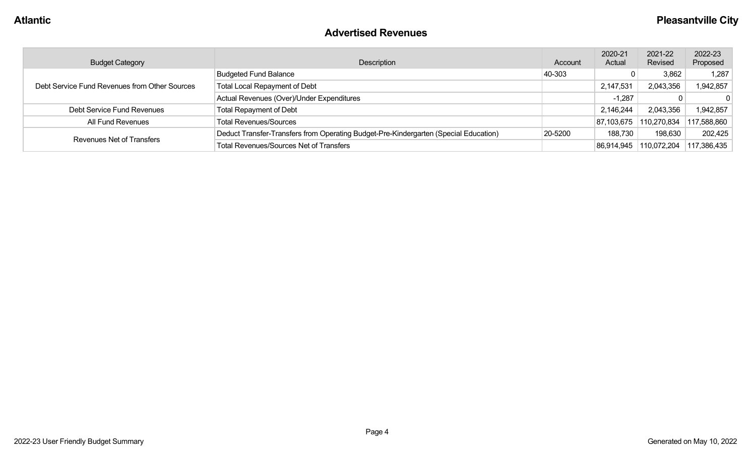#### **Advertised Revenues**

| <b>Budget Category</b>                        | Description                                                                          | Account | 2020-21<br>Actual | 2021-22<br>Revised | 2022-23<br>Proposed |
|-----------------------------------------------|--------------------------------------------------------------------------------------|---------|-------------------|--------------------|---------------------|
| Debt Service Fund Revenues from Other Sources | <b>Budgeted Fund Balance</b>                                                         | 40-303  |                   | 3,862              | 1,287               |
|                                               | <b>Total Local Repayment of Debt</b>                                                 |         | 2,147,531         | 2,043,356          | 942,857             |
|                                               | Actual Revenues (Over)/Under Expenditures                                            |         | $-1,287$          |                    | $\Omega$            |
| Debt Service Fund Revenues                    | <b>Total Repayment of Debt</b>                                                       |         | 2,146,244         | 2,043,356          | 1,942,857           |
| All Fund Revenues                             | <b>Total Revenues/Sources</b>                                                        |         | 87,103,675        | 110,270,834        | 117,588,860         |
|                                               | Deduct Transfer-Transfers from Operating Budget-Pre-Kindergarten (Special Education) | 20-5200 | 188,730           | 198,630            | 202,425             |
| Revenues Net of Transfers                     | <b>Total Revenues/Sources Net of Transfers</b>                                       |         | 86,914,945        | 110,072,204        | 117,386,435         |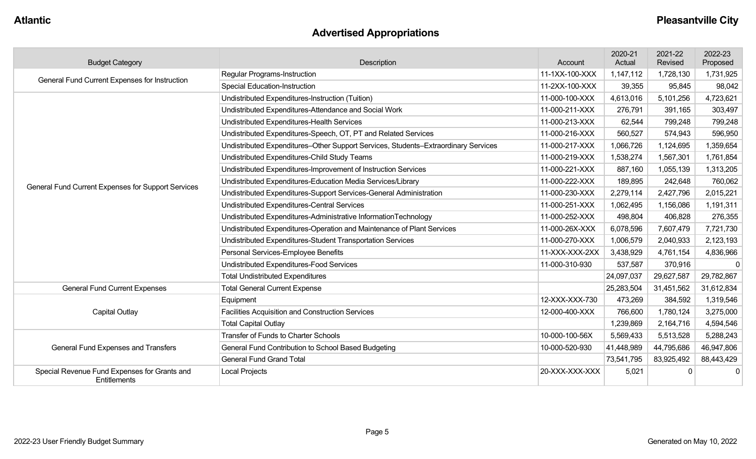# **Advertised Appropriations**

| <b>Budget Category</b>                                       | Description                                                                        | Account        | 2020-21<br>Actual | 2021-22<br>Revised | 2022-23<br>Proposed |
|--------------------------------------------------------------|------------------------------------------------------------------------------------|----------------|-------------------|--------------------|---------------------|
| General Fund Current Expenses for Instruction                | Regular Programs-Instruction                                                       | 11-1XX-100-XXX | 1,147,112         | 1,728,130          | 1,731,925           |
|                                                              | <b>Special Education-Instruction</b>                                               | 11-2XX-100-XXX | 39,355            | 95,845             | 98,042              |
|                                                              | Undistributed Expenditures-Instruction (Tuition)                                   | 11-000-100-XXX | 4,613,016         | 5,101,256          | 4,723,621           |
|                                                              | Undistributed Expenditures-Attendance and Social Work                              | 11-000-211-XXX | 276,791           | 391,165            | 303,497             |
|                                                              | Undistributed Expenditures-Health Services                                         | 11-000-213-XXX | 62,544            | 799,248            | 799,248             |
|                                                              | Undistributed Expenditures-Speech, OT, PT and Related Services                     | 11-000-216-XXX | 560,527           | 574,943            | 596,950             |
|                                                              | Undistributed Expenditures-Other Support Services, Students-Extraordinary Services | 11-000-217-XXX | 1,066,726         | 1,124,695          | 1,359,654           |
|                                                              | Undistributed Expenditures-Child Study Teams                                       | 11-000-219-XXX | 1,538,274         | 1,567,301          | 1,761,854           |
|                                                              | Undistributed Expenditures-Improvement of Instruction Services                     | 11-000-221-XXX | 887,160           | 1,055,139          | 1,313,205           |
| General Fund Current Expenses for Support Services           | Undistributed Expenditures-Education Media Services/Library                        | 11-000-222-XXX | 189,895           | 242,648            | 760,062             |
|                                                              | Undistributed Expenditures-Support Services-General Administration                 | 11-000-230-XXX | 2,279,114         | 2,427,796          | 2,015,221           |
|                                                              | Undistributed Expenditures-Central Services                                        | 11-000-251-XXX | 1,062,495         | 1,156,086          | 1,191,311           |
|                                                              | Undistributed Expenditures-Administrative InformationTechnology                    | 11-000-252-XXX | 498,804           | 406,828            | 276,355             |
|                                                              | Undistributed Expenditures-Operation and Maintenance of Plant Services             | 11-000-26X-XXX | 6,078,596         | 7,607,479          | 7,721,730           |
|                                                              | Undistributed Expenditures-Student Transportation Services                         | 11-000-270-XXX | 1,006,579         | 2,040,933          | 2,123,193           |
|                                                              | Personal Services-Employee Benefits                                                | 11-XXX-XXX-2XX | 3,438,929         | 4,761,154          | 4,836,966           |
|                                                              | Undistributed Expenditures-Food Services                                           | 11-000-310-930 | 537,587           | 370,916            | $\mathbf 0$         |
|                                                              | <b>Total Undistributed Expenditures</b>                                            |                | 24,097,037        | 29,627,587         | 29,782,867          |
| <b>General Fund Current Expenses</b>                         | <b>Total General Current Expense</b>                                               |                | 25,283,504        | 31,451,562         | 31,612,834          |
|                                                              | Equipment                                                                          | 12-XXX-XXX-730 | 473,269           | 384,592            | 1,319,546           |
| <b>Capital Outlay</b>                                        | Facilities Acquisition and Construction Services                                   | 12-000-400-XXX | 766,600           | 1,780,124          | 3,275,000           |
|                                                              | <b>Total Capital Outlay</b>                                                        |                | 1,239,869         | 2,164,716          | 4,594,546           |
|                                                              | <b>Transfer of Funds to Charter Schools</b>                                        | 10-000-100-56X | 5,569,433         | 5,513,528          | 5,288,243           |
| General Fund Expenses and Transfers                          | General Fund Contribution to School Based Budgeting                                | 10-000-520-930 | 41,448,989        | 44,795,686         | 46,947,806          |
|                                                              | <b>General Fund Grand Total</b>                                                    |                | 73,541,795        | 83,925,492         | 88,443,429          |
| Special Revenue Fund Expenses for Grants and<br>Entitlements | <b>Local Projects</b>                                                              | 20-XXX-XXX-XXX | 5,021             |                    | $\mathbf 0$         |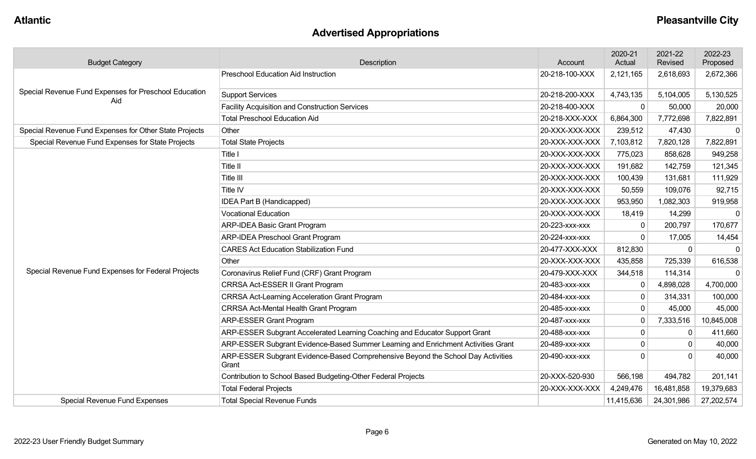# **Advertised Appropriations**

| <b>Budget Category</b>                                       | Description                                                                               | Account        | 2020-21<br>Actual | 2021-22<br>Revised | 2022-23<br>Proposed |
|--------------------------------------------------------------|-------------------------------------------------------------------------------------------|----------------|-------------------|--------------------|---------------------|
|                                                              | <b>Preschool Education Aid Instruction</b>                                                | 20-218-100-XXX | 2,121,165         | 2,618,693          | 2,672,366           |
| Special Revenue Fund Expenses for Preschool Education<br>Aid | <b>Support Services</b>                                                                   | 20-218-200-XXX | 4,743,135         | 5,104,005          | 5,130,525           |
|                                                              | <b>Facility Acquisition and Construction Services</b>                                     | 20-218-400-XXX | $\mathbf{0}$      | 50,000             | 20,000              |
|                                                              | <b>Total Preschool Education Aid</b>                                                      | 20-218-XXX-XXX | 6,864,300         | 7,772,698          | 7,822,891           |
| Special Revenue Fund Expenses for Other State Projects       | Other                                                                                     | 20-XXX-XXX-XXX | 239,512           | 47,430             | $\Omega$            |
| Special Revenue Fund Expenses for State Projects             | <b>Total State Projects</b>                                                               | 20-XXX-XXX-XXX | 7,103,812         | 7,820,128          | 7,822,891           |
|                                                              | Title I                                                                                   | 20-XXX-XXX-XXX | 775,023           | 858,628            | 949,258             |
|                                                              | Title II                                                                                  | 20-XXX-XXX-XXX | 191,682           | 142,759            | 121,345             |
|                                                              | Title III                                                                                 | 20-XXX-XXX-XXX | 100,439           | 131,681            | 111,929             |
|                                                              | Title IV                                                                                  | 20-XXX-XXX-XXX | 50,559            | 109,076            | 92,715              |
|                                                              | IDEA Part B (Handicapped)                                                                 | 20-XXX-XXX-XXX | 953,950           | 1,082,303          | 919,958             |
|                                                              | <b>Vocational Education</b>                                                               | 20-XXX-XXX-XXX | 18,419            | 14,299             | $\Omega$            |
|                                                              | ARP-IDEA Basic Grant Program                                                              | 20-223-xxx-xxx | $\Omega$          | 200,797            | 170,677             |
|                                                              | ARP-IDEA Preschool Grant Program                                                          | 20-224-xxx-xxx | $\Omega$          | 17,005             | 14,454              |
|                                                              | <b>CARES Act Education Stabilization Fund</b>                                             | 20-477-XXX-XXX | 812,830           | $\mathbf{0}$       | $\mathbf 0$         |
|                                                              | Other                                                                                     | 20-XXX-XXX-XXX | 435,858           | 725,339            | 616,538             |
| Special Revenue Fund Expenses for Federal Projects           | Coronavirus Relief Fund (CRF) Grant Program                                               | 20-479-XXX-XXX | 344,518           | 114,314            | $\Omega$            |
|                                                              | CRRSA Act-ESSER II Grant Program                                                          | 20-483-xxx-xxx | 0                 | 4,898,028          | 4,700,000           |
|                                                              | <b>CRRSA Act-Learning Acceleration Grant Program</b>                                      | 20-484-xxx-xxx | $\mathbf 0$       | 314,331            | 100,000             |
|                                                              | <b>CRRSA Act-Mental Health Grant Program</b>                                              | 20-485-xxx-xxx | $\mathbf 0$       | 45,000             | 45,000              |
|                                                              | <b>ARP-ESSER Grant Program</b>                                                            | 20-487-xxx-xxx | $\pmb{0}$         | 7,333,516          | 10,845,008          |
|                                                              | ARP-ESSER Subgrant Accelerated Learning Coaching and Educator Support Grant               | 20-488-xxx-xxx | $\mathbf 0$       | $\mathbf{0}$       | 411,660             |
|                                                              | ARP-ESSER Subgrant Evidence-Based Summer Learning and Enrichment Activities Grant         | 20-489-xxx-xxx | $\pmb{0}$         |                    | 40,000              |
|                                                              | ARP-ESSER Subgrant Evidence-Based Comprehensive Beyond the School Day Activities<br>Grant | 20-490-xxx-xxx | $\Omega$          | $\Omega$           | 40,000              |
|                                                              | Contribution to School Based Budgeting-Other Federal Projects                             | 20-XXX-520-930 | 566,198           | 494,782            | 201,141             |
|                                                              | <b>Total Federal Projects</b>                                                             | 20-XXX-XXX-XXX | 4,249,476         | 16,481,858         | 19,379,683          |
| <b>Special Revenue Fund Expenses</b>                         | <b>Total Special Revenue Funds</b>                                                        |                | 11,415,636        | 24,301,986         | 27,202,574          |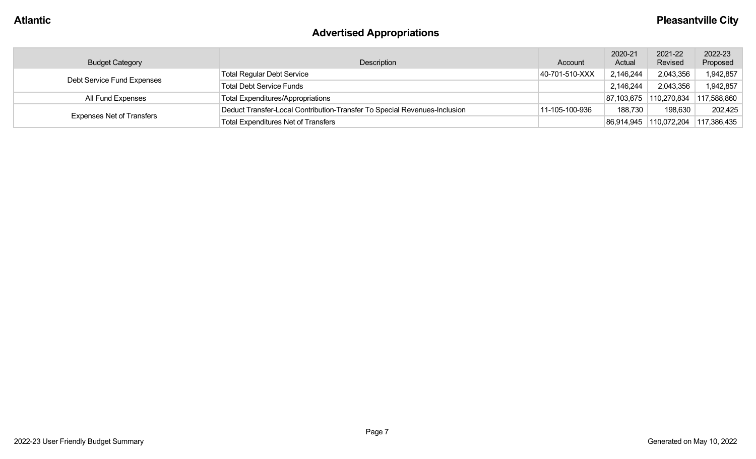# **Advertised Appropriations**

| <b>Budget Category</b>           | Description                                                               | Account        | 2020-21<br>Actual | 2021-22<br>Revised     | 2022-23<br>Proposed |
|----------------------------------|---------------------------------------------------------------------------|----------------|-------------------|------------------------|---------------------|
| Debt Service Fund Expenses       | <b>Total Regular Debt Service</b>                                         | 40-701-510-XXX | 2,146,244         | 2,043,356              | 1,942,857           |
|                                  | <b>Total Debt Service Funds</b>                                           |                | 2,146,244         | 2,043,356              | 1,942,857           |
| All Fund Expenses                | <b>Total Expenditures/Appropriations</b>                                  |                |                   | 87,103,675 110,270,834 | 117,588,860         |
|                                  | Deduct Transfer-Local Contribution-Transfer To Special Revenues-Inclusion | 11-105-100-936 | 188,730           | 198,630                | 202,425             |
| <b>Expenses Net of Transfers</b> | <b>Total Expenditures Net of Transfers</b>                                |                |                   | 86,914,945 110,072,204 | 117,386,435         |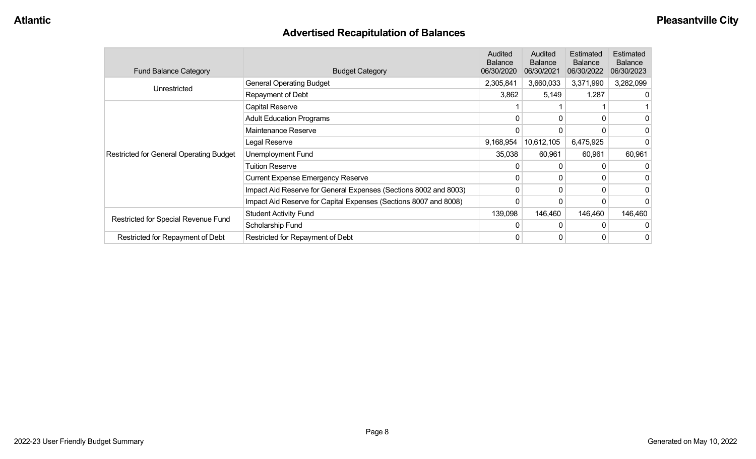# **Advertised Recapitulation of Balances**

| <b>Fund Balance Category</b>                   | <b>Budget Category</b>                                           | Audited<br><b>Balance</b><br>06/30/2020 | Audited<br><b>Balance</b><br>06/30/2021 | Estimated<br><b>Balance</b><br>06/30/2022                   | Estimated<br><b>Balance</b><br>06/30/2023 |
|------------------------------------------------|------------------------------------------------------------------|-----------------------------------------|-----------------------------------------|-------------------------------------------------------------|-------------------------------------------|
| Unrestricted                                   | <b>General Operating Budget</b>                                  | 2,305,841                               | 3,660,033                               | 3,371,990                                                   | 3,282,099                                 |
|                                                | Repayment of Debt                                                | 3,862                                   | 5,149                                   | 1,287<br>6,475,925<br>60,961<br>0<br>0<br>146,460<br>0<br>0 | 0                                         |
|                                                | Capital Reserve                                                  |                                         |                                         |                                                             |                                           |
|                                                | <b>Adult Education Programs</b>                                  | $\Omega$                                |                                         |                                                             | 0                                         |
|                                                | Maintenance Reserve                                              |                                         |                                         |                                                             | 0                                         |
|                                                | Legal Reserve                                                    | 9,168,954                               | 10,612,105                              |                                                             |                                           |
| <b>Restricted for General Operating Budget</b> | Unemployment Fund                                                | 35,038                                  | 60,961                                  |                                                             | 60,961                                    |
|                                                | Tuition Reserve                                                  |                                         |                                         |                                                             |                                           |
|                                                | <b>Current Expense Emergency Reserve</b>                         | $\Omega$                                |                                         |                                                             | 0                                         |
|                                                | Impact Aid Reserve for General Expenses (Sections 8002 and 8003) | 0                                       |                                         |                                                             | 0                                         |
|                                                | Impact Aid Reserve for Capital Expenses (Sections 8007 and 8008) | 0                                       |                                         |                                                             | $\Omega$                                  |
|                                                | <b>Student Activity Fund</b>                                     | 139,098                                 | 146,460                                 |                                                             | 146,460                                   |
| Restricted for Special Revenue Fund            | Scholarship Fund                                                 | $\Omega$                                |                                         |                                                             | 0                                         |
| Restricted for Repayment of Debt               | Restricted for Repayment of Debt                                 | 0                                       |                                         |                                                             | $\overline{0}$                            |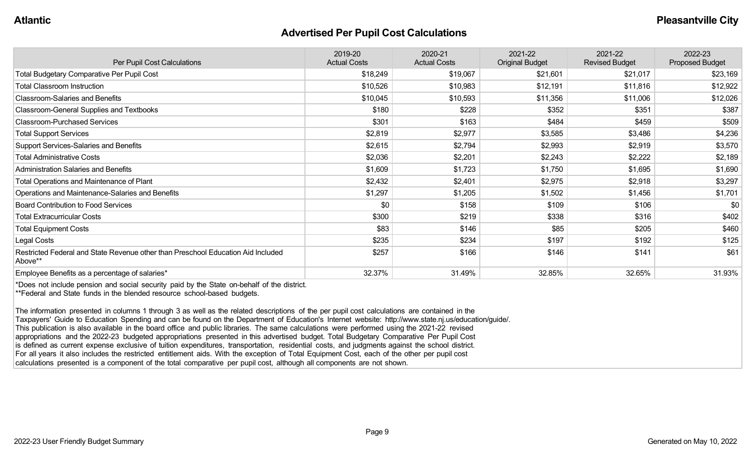#### **Advertised Per Pupil Cost Calculations**

| Per Pupil Cost Calculations                                                                 | 2019-20<br><b>Actual Costs</b> | 2020-21<br><b>Actual Costs</b> | 2021-22<br><b>Original Budget</b> | 2021-22<br><b>Revised Budget</b> | 2022-23<br><b>Proposed Budget</b> |
|---------------------------------------------------------------------------------------------|--------------------------------|--------------------------------|-----------------------------------|----------------------------------|-----------------------------------|
| <b>Total Budgetary Comparative Per Pupil Cost</b>                                           | \$18,249                       | \$19,067                       | \$21,601                          | \$21,017                         | \$23,169                          |
| <b>Total Classroom Instruction</b>                                                          | \$10,526                       | \$10,983                       | \$12,191                          | \$11,816                         | \$12,922                          |
| <b>Classroom-Salaries and Benefits</b>                                                      | \$10,045                       | \$10,593                       | \$11,356                          | \$11,006                         | \$12,026                          |
| Classroom-General Supplies and Textbooks                                                    | \$180                          | \$228                          | \$352                             | \$351                            | \$387                             |
| <b>Classroom-Purchased Services</b>                                                         | \$301                          | \$163                          | \$484                             | \$459                            | \$509                             |
| <b>Total Support Services</b>                                                               | \$2,819                        | \$2,977                        | \$3,585                           | \$3,486                          | \$4,236                           |
| Support Services-Salaries and Benefits                                                      | \$2,615                        | \$2,794                        | \$2,993                           | \$2,919                          | \$3,570                           |
| <b>Total Administrative Costs</b>                                                           | \$2,036                        | \$2,201                        | \$2,243                           | \$2,222                          | \$2,189                           |
| <b>Administration Salaries and Benefits</b>                                                 | \$1,609                        | \$1,723                        | \$1,750                           | \$1,695                          | \$1,690                           |
| Total Operations and Maintenance of Plant                                                   | \$2,432                        | \$2,401                        | \$2,975                           | \$2,918                          | \$3,297                           |
| Operations and Maintenance-Salaries and Benefits                                            | \$1,297                        | \$1,205                        | \$1,502                           | \$1,456                          | \$1,701                           |
| <b>Board Contribution to Food Services</b>                                                  | \$0                            | \$158                          | \$109                             | \$106                            | \$0                               |
| <b>Total Extracurricular Costs</b>                                                          | \$300                          | \$219                          | \$338                             | \$316                            | \$402                             |
| <b>Total Equipment Costs</b>                                                                | \$83                           | \$146                          | \$85                              | \$205                            | \$460                             |
| Legal Costs                                                                                 | \$235                          | \$234                          | \$197                             | \$192                            | \$125                             |
| Restricted Federal and State Revenue other than Preschool Education Aid Included<br>Above** | \$257                          | \$166                          | \$146                             | \$141                            | \$61                              |
| Employee Benefits as a percentage of salaries*                                              | 32.37%                         | 31.49%                         | 32.85%                            | 32.65%                           | 31.93%                            |

\*Does not include pension and social security paid by the State on-behalf of the district. \*\*Federal and State funds in the blended resource school-based budgets.

The information presented in columns 1 through 3 as well as the related descriptions of the per pupil cost calculations are contained in the Taxpayers' Guide to Education Spending and can be found on the Department of Education's Internet website: http://www.state.nj.us/education/guide/. This publication is also available in the board office and public libraries. The same calculations were performed using the 2021-22 revised appropriations and the 2022-23 budgeted appropriations presented in this advertised budget. Total Budgetary Comparative Per Pupil Cost is defined as current expense exclusive of tuition expenditures, transportation, residential costs, and judgments against the school district. For all years it also includes the restricted entitlement aids. With the exception of Total Equipment Cost, each of the other per pupil cost calculations presented is a component of the total comparative per pupil cost, although all components are not shown.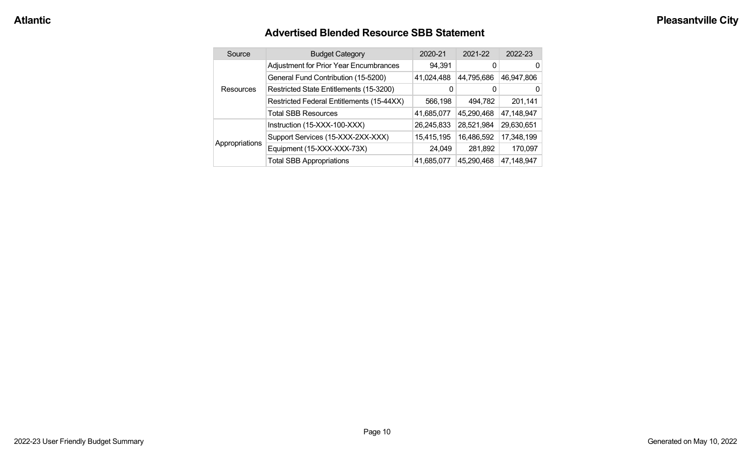#### **Advertised Blended Resource SBB Statement**

|  | Source           | <b>Budget Category</b>                        | 2020-21    | 2021-22    | 2022-23    |
|--|------------------|-----------------------------------------------|------------|------------|------------|
|  |                  | <b>Adjustment for Prior Year Encumbrances</b> | 94,391     | 0          | 0          |
|  |                  | General Fund Contribution (15-5200)           | 41,024,488 | 44,795,686 | 46,947,806 |
|  | <b>Resources</b> | Restricted State Entitlements (15-3200)       | 0          | 0          | 0          |
|  |                  | Restricted Federal Entitlements (15-44XX)     | 566,198    | 494,782    | 201,141    |
|  |                  | <b>Total SBB Resources</b>                    | 41,685,077 | 45,290,468 | 47,148,947 |
|  |                  | Instruction (15-XXX-100-XXX)                  | 26,245,833 | 28,521,984 | 29,630,651 |
|  |                  | Support Services (15-XXX-2XX-XXX)             | 15,415,195 | 16,486,592 | 17,348,199 |
|  | Appropriations   | Equipment (15-XXX-XXX-73X)                    | 24,049     | 281,892    | 170,097    |
|  |                  | <b>Total SBB Appropriations</b>               | 41,685,077 | 45,290,468 | 47,148,947 |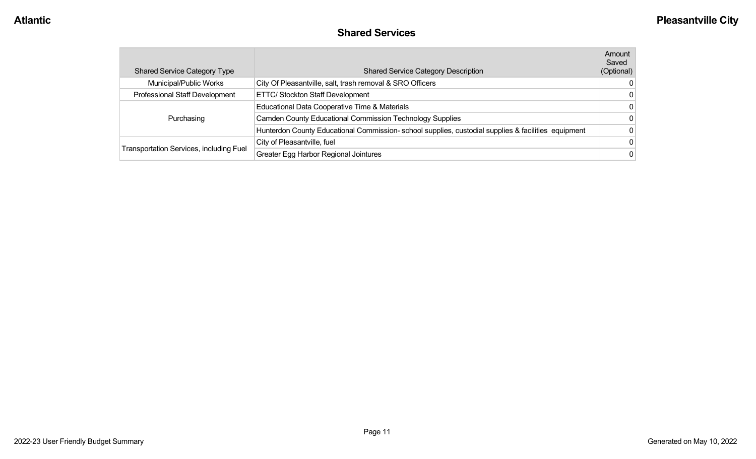#### **Shared Services**

| <b>Shared Service Category Type</b>            | <b>Shared Service Category Description</b>                                                         | Amount<br>Saved<br>(Optional) |
|------------------------------------------------|----------------------------------------------------------------------------------------------------|-------------------------------|
| Municipal/Public Works                         | City Of Pleasantville, salt, trash removal & SRO Officers                                          | 0                             |
| Professional Staff Development                 | ETTC/ Stockton Staff Development                                                                   | 0                             |
|                                                | Educational Data Cooperative Time & Materials                                                      | 0                             |
| Purchasing                                     | <b>Camden County Educational Commission Technology Supplies</b>                                    | 0                             |
|                                                | Hunterdon County Educational Commission-school supplies, custodial supplies & facilities equipment | 0                             |
|                                                | City of Pleasantville, fuel                                                                        | 0                             |
| <b>Transportation Services, including Fuel</b> | <b>Greater Egg Harbor Regional Jointures</b>                                                       | $\Omega$                      |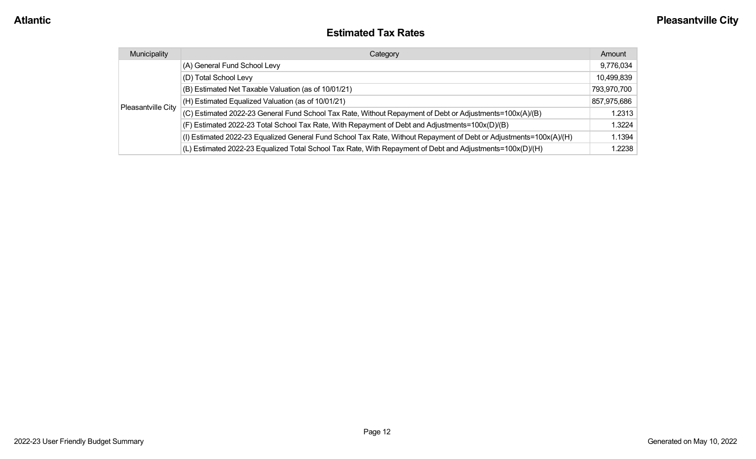#### **Estimated Tax Rates**

| Municipality       | Category                                                                                                           | Amount      |
|--------------------|--------------------------------------------------------------------------------------------------------------------|-------------|
|                    | (A) General Fund School Levy                                                                                       | 9,776,034   |
|                    | (D) Total School Levy                                                                                              | 10,499,839  |
|                    | (B) Estimated Net Taxable Valuation (as of 10/01/21)                                                               | 793,970,700 |
|                    | (H) Estimated Equalized Valuation (as of 10/01/21)                                                                 | 857,975,686 |
| Pleasantville City | (C) Estimated 2022-23 General Fund School Tax Rate, Without Repayment of Debt or Adjustments=100x(A)/(B)           | 1.2313      |
|                    | (F) Estimated 2022-23 Total School Tax Rate, With Repayment of Debt and Adjustments=100x(D)/(B)                    | 1.3224      |
|                    | (I) Estimated 2022-23 Equalized General Fund School Tax Rate, Without Repayment of Debt or Adjustments=100x(A)/(H) | 1.1394      |
|                    | (L) Estimated 2022-23 Equalized Total School Tax Rate, With Repayment of Debt and Adjustments=100x(D)/(H)          | 1.2238      |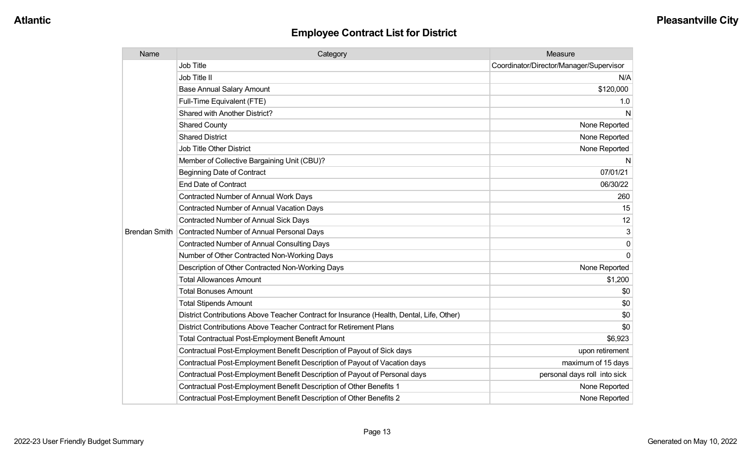| Name                 | Category                                                                                  | Measure                                 |
|----------------------|-------------------------------------------------------------------------------------------|-----------------------------------------|
|                      | <b>Job Title</b>                                                                          | Coordinator/Director/Manager/Supervisor |
|                      | Job Title II                                                                              | N/A                                     |
|                      | <b>Base Annual Salary Amount</b>                                                          | \$120,000                               |
|                      | Full-Time Equivalent (FTE)                                                                | 1.0                                     |
|                      | <b>Shared with Another District?</b>                                                      | N                                       |
|                      | <b>Shared County</b>                                                                      | None Reported                           |
|                      | <b>Shared District</b>                                                                    | None Reported                           |
|                      | <b>Job Title Other District</b>                                                           | None Reported                           |
|                      | Member of Collective Bargaining Unit (CBU)?                                               | N                                       |
|                      | <b>Beginning Date of Contract</b>                                                         | 07/01/21                                |
|                      | <b>End Date of Contract</b>                                                               | 06/30/22                                |
|                      | Contracted Number of Annual Work Days                                                     | 260                                     |
|                      | <b>Contracted Number of Annual Vacation Days</b>                                          | 15                                      |
|                      | <b>Contracted Number of Annual Sick Days</b>                                              | 12                                      |
| <b>Brendan Smith</b> | Contracted Number of Annual Personal Days                                                 | 3                                       |
|                      | <b>Contracted Number of Annual Consulting Days</b>                                        | $\Omega$                                |
|                      | Number of Other Contracted Non-Working Days                                               | $\Omega$                                |
|                      | Description of Other Contracted Non-Working Days                                          | None Reported                           |
|                      | <b>Total Allowances Amount</b>                                                            | \$1,200                                 |
|                      | <b>Total Bonuses Amount</b>                                                               | \$0                                     |
|                      | <b>Total Stipends Amount</b>                                                              | \$0                                     |
|                      | District Contributions Above Teacher Contract for Insurance (Health, Dental, Life, Other) | \$0                                     |
|                      | District Contributions Above Teacher Contract for Retirement Plans                        | \$0                                     |
|                      | <b>Total Contractual Post-Employment Benefit Amount</b>                                   | \$6,923                                 |
|                      | Contractual Post-Employment Benefit Description of Payout of Sick days                    | upon retirement                         |
|                      | Contractual Post-Employment Benefit Description of Payout of Vacation days                | maximum of 15 days                      |
|                      | Contractual Post-Employment Benefit Description of Payout of Personal days                | personal days roll into sick            |
|                      | Contractual Post-Employment Benefit Description of Other Benefits 1                       | None Reported                           |
|                      | Contractual Post-Employment Benefit Description of Other Benefits 2                       | None Reported                           |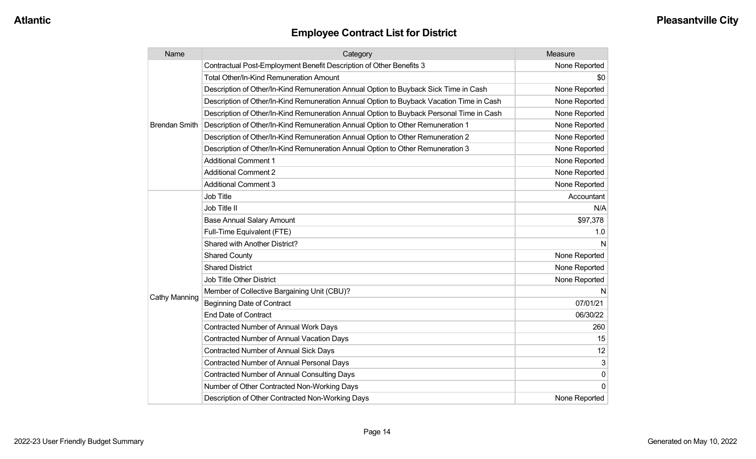| Name                 | Category                                                                                 | Measure       |
|----------------------|------------------------------------------------------------------------------------------|---------------|
|                      | Contractual Post-Employment Benefit Description of Other Benefits 3                      | None Reported |
|                      | Total Other/In-Kind Remuneration Amount                                                  | \$0           |
|                      | Description of Other/In-Kind Remuneration Annual Option to Buyback Sick Time in Cash     | None Reported |
|                      | Description of Other/In-Kind Remuneration Annual Option to Buyback Vacation Time in Cash | None Reported |
|                      | Description of Other/In-Kind Remuneration Annual Option to Buyback Personal Time in Cash | None Reported |
| <b>Brendan Smith</b> | Description of Other/In-Kind Remuneration Annual Option to Other Remuneration 1          | None Reported |
|                      | Description of Other/In-Kind Remuneration Annual Option to Other Remuneration 2          | None Reported |
|                      | Description of Other/In-Kind Remuneration Annual Option to Other Remuneration 3          | None Reported |
|                      | <b>Additional Comment 1</b>                                                              | None Reported |
|                      | <b>Additional Comment 2</b>                                                              | None Reported |
|                      | <b>Additional Comment 3</b>                                                              | None Reported |
|                      | Job Title                                                                                | Accountant    |
|                      | Job Title II                                                                             | N/A           |
|                      | <b>Base Annual Salary Amount</b>                                                         | \$97,378      |
|                      | Full-Time Equivalent (FTE)                                                               | 1.0           |
|                      | Shared with Another District?                                                            | N             |
|                      | <b>Shared County</b>                                                                     | None Reported |
|                      | <b>Shared District</b>                                                                   | None Reported |
|                      | Job Title Other District                                                                 | None Reported |
|                      | Member of Collective Bargaining Unit (CBU)?                                              | N             |
| <b>Cathy Manning</b> | <b>Beginning Date of Contract</b>                                                        | 07/01/21      |
|                      | <b>End Date of Contract</b>                                                              | 06/30/22      |
|                      | Contracted Number of Annual Work Days                                                    | 260           |
|                      | <b>Contracted Number of Annual Vacation Days</b>                                         | 15            |
|                      | Contracted Number of Annual Sick Days                                                    | 12            |
|                      | Contracted Number of Annual Personal Days                                                | 3             |
|                      | <b>Contracted Number of Annual Consulting Days</b>                                       | 0             |
|                      | Number of Other Contracted Non-Working Days                                              | $\Omega$      |
|                      | Description of Other Contracted Non-Working Days                                         | None Reported |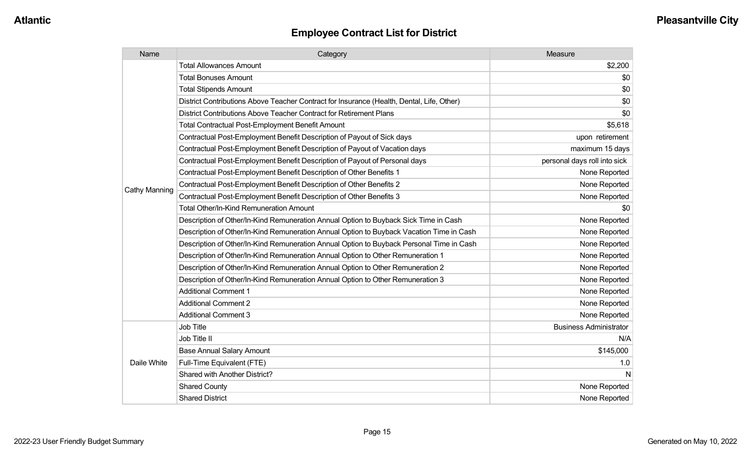| Name          | Category                                                                                  | Measure                       |
|---------------|-------------------------------------------------------------------------------------------|-------------------------------|
|               | <b>Total Allowances Amount</b>                                                            | \$2,200                       |
|               | <b>Total Bonuses Amount</b>                                                               | \$0                           |
|               | <b>Total Stipends Amount</b>                                                              | \$0                           |
|               | District Contributions Above Teacher Contract for Insurance (Health, Dental, Life, Other) | \$0                           |
|               | District Contributions Above Teacher Contract for Retirement Plans                        | \$0                           |
|               | <b>Total Contractual Post-Employment Benefit Amount</b>                                   | \$5,618                       |
|               | Contractual Post-Employment Benefit Description of Payout of Sick days                    | upon retirement               |
|               | Contractual Post-Employment Benefit Description of Payout of Vacation days                | maximum 15 days               |
|               | Contractual Post-Employment Benefit Description of Payout of Personal days                | personal days roll into sick  |
|               | Contractual Post-Employment Benefit Description of Other Benefits 1                       | None Reported                 |
|               | Contractual Post-Employment Benefit Description of Other Benefits 2                       | None Reported                 |
| Cathy Manning | Contractual Post-Employment Benefit Description of Other Benefits 3                       | None Reported                 |
|               | Total Other/In-Kind Remuneration Amount                                                   | \$0                           |
|               | Description of Other/In-Kind Remuneration Annual Option to Buyback Sick Time in Cash      | None Reported                 |
|               | Description of Other/In-Kind Remuneration Annual Option to Buyback Vacation Time in Cash  | None Reported                 |
|               | Description of Other/In-Kind Remuneration Annual Option to Buyback Personal Time in Cash  | None Reported                 |
|               | Description of Other/In-Kind Remuneration Annual Option to Other Remuneration 1           | None Reported                 |
|               | Description of Other/In-Kind Remuneration Annual Option to Other Remuneration 2           | None Reported                 |
|               | Description of Other/In-Kind Remuneration Annual Option to Other Remuneration 3           | None Reported                 |
|               | <b>Additional Comment 1</b>                                                               | None Reported                 |
|               | <b>Additional Comment 2</b>                                                               | None Reported                 |
|               | <b>Additional Comment 3</b>                                                               | None Reported                 |
|               | Job Title                                                                                 | <b>Business Administrator</b> |
| Daile White   | Job Title II                                                                              | N/A                           |
|               | <b>Base Annual Salary Amount</b>                                                          | \$145,000                     |
|               | Full-Time Equivalent (FTE)                                                                | 1.0                           |
|               | Shared with Another District?                                                             | N                             |
|               | <b>Shared County</b>                                                                      | None Reported                 |
|               | <b>Shared District</b>                                                                    | None Reported                 |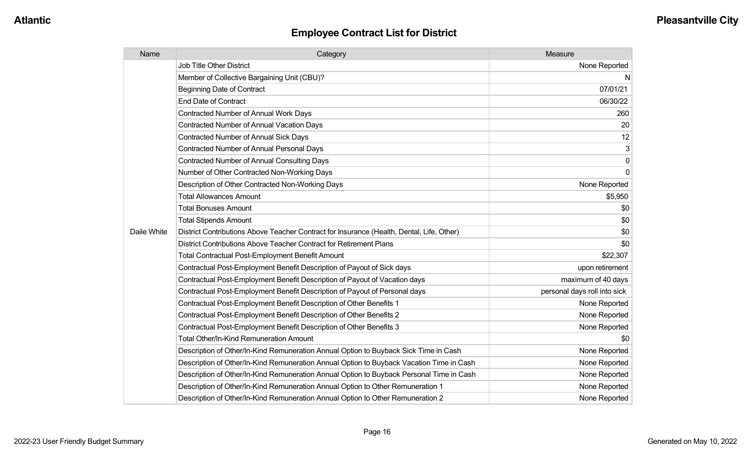| Name        | Category                                                                                  | Measure                      |
|-------------|-------------------------------------------------------------------------------------------|------------------------------|
|             | <b>Job Title Other District</b>                                                           | None Reported                |
|             | Member of Collective Bargaining Unit (CBU)?                                               | N                            |
|             | <b>Beginning Date of Contract</b>                                                         | 07/01/21                     |
|             | <b>End Date of Contract</b>                                                               | 06/30/22                     |
|             | <b>Contracted Number of Annual Work Days</b>                                              | 260                          |
|             | <b>Contracted Number of Annual Vacation Days</b>                                          | 20                           |
|             | Contracted Number of Annual Sick Days                                                     | 12                           |
|             | <b>Contracted Number of Annual Personal Days</b>                                          | 3                            |
|             | <b>Contracted Number of Annual Consulting Days</b>                                        | 0                            |
|             | Number of Other Contracted Non-Working Days                                               | $\mathbf 0$                  |
|             | Description of Other Contracted Non-Working Days                                          | None Reported                |
|             | <b>Total Allowances Amount</b>                                                            | \$5,950                      |
|             | <b>Total Bonuses Amount</b>                                                               | \$0                          |
|             | <b>Total Stipends Amount</b>                                                              | \$0                          |
| Daile White | District Contributions Above Teacher Contract for Insurance (Health, Dental, Life, Other) | \$0                          |
|             | District Contributions Above Teacher Contract for Retirement Plans                        | \$0                          |
|             | Total Contractual Post-Employment Benefit Amount                                          | \$22,307                     |
|             | Contractual Post-Employment Benefit Description of Payout of Sick days                    | upon retirement              |
|             | Contractual Post-Employment Benefit Description of Payout of Vacation days                | maximum of 40 days           |
|             | Contractual Post-Employment Benefit Description of Payout of Personal days                | personal days roll into sick |
|             | Contractual Post-Employment Benefit Description of Other Benefits 1                       | None Reported                |
|             | Contractual Post-Employment Benefit Description of Other Benefits 2                       | None Reported                |
|             | Contractual Post-Employment Benefit Description of Other Benefits 3                       | None Reported                |
|             | <b>Total Other/In-Kind Remuneration Amount</b>                                            | \$0                          |
|             | Description of Other/In-Kind Remuneration Annual Option to Buyback Sick Time in Cash      | None Reported                |
|             | Description of Other/In-Kind Remuneration Annual Option to Buyback Vacation Time in Cash  | None Reported                |
|             | Description of Other/In-Kind Remuneration Annual Option to Buyback Personal Time in Cash  | None Reported                |
|             | Description of Other/In-Kind Remuneration Annual Option to Other Remuneration 1           | None Reported                |
|             | Description of Other/In-Kind Remuneration Annual Option to Other Remuneration 2           | None Reported                |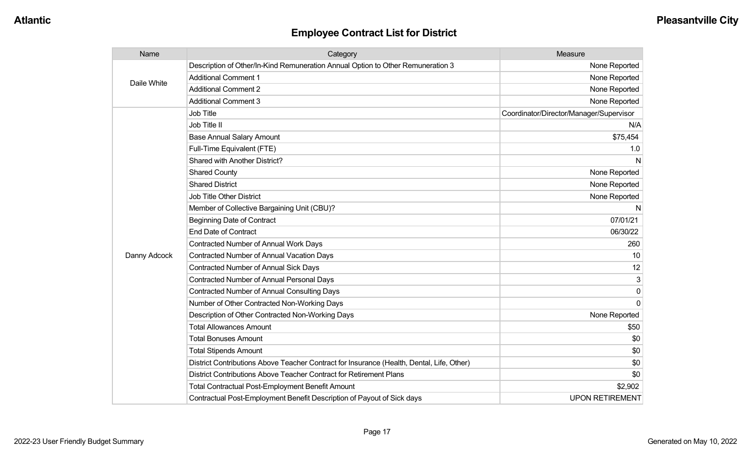| Name         | Category                                                                                  | Measure                                 |
|--------------|-------------------------------------------------------------------------------------------|-----------------------------------------|
| Daile White  | Description of Other/In-Kind Remuneration Annual Option to Other Remuneration 3           | None Reported                           |
|              | <b>Additional Comment 1</b>                                                               | None Reported                           |
|              | <b>Additional Comment 2</b>                                                               | None Reported                           |
|              | <b>Additional Comment 3</b>                                                               | None Reported                           |
|              | Job Title                                                                                 | Coordinator/Director/Manager/Supervisor |
|              | Job Title II                                                                              | N/A                                     |
|              | <b>Base Annual Salary Amount</b>                                                          | \$75,454                                |
|              | Full-Time Equivalent (FTE)                                                                | 1.0                                     |
|              | Shared with Another District?                                                             | N                                       |
|              | <b>Shared County</b>                                                                      | None Reported                           |
|              | <b>Shared District</b>                                                                    | None Reported                           |
|              | Job Title Other District                                                                  | None Reported                           |
|              | Member of Collective Bargaining Unit (CBU)?                                               | N                                       |
|              | <b>Beginning Date of Contract</b>                                                         | 07/01/21                                |
|              | <b>End Date of Contract</b>                                                               | 06/30/22                                |
|              | <b>Contracted Number of Annual Work Days</b>                                              | 260                                     |
| Danny Adcock | <b>Contracted Number of Annual Vacation Days</b>                                          | 10                                      |
|              | <b>Contracted Number of Annual Sick Days</b>                                              | 12                                      |
|              | <b>Contracted Number of Annual Personal Days</b>                                          | 3                                       |
|              | <b>Contracted Number of Annual Consulting Days</b>                                        | 0                                       |
|              | Number of Other Contracted Non-Working Days                                               | $\Omega$                                |
|              | Description of Other Contracted Non-Working Days                                          | None Reported                           |
|              | <b>Total Allowances Amount</b>                                                            | \$50                                    |
|              | <b>Total Bonuses Amount</b>                                                               | \$0                                     |
|              | <b>Total Stipends Amount</b>                                                              | \$0                                     |
|              | District Contributions Above Teacher Contract for Insurance (Health, Dental, Life, Other) | \$0                                     |
|              | District Contributions Above Teacher Contract for Retirement Plans                        | \$0                                     |
|              | <b>Total Contractual Post-Employment Benefit Amount</b>                                   | \$2,902                                 |
|              | Contractual Post-Employment Benefit Description of Payout of Sick days                    | <b>UPON RETIREMENT</b>                  |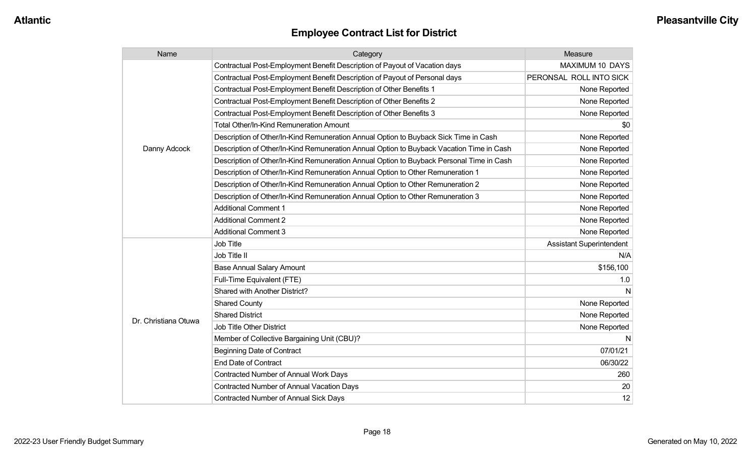| Name                 | Category                                                                                 | <b>Measure</b>                  |
|----------------------|------------------------------------------------------------------------------------------|---------------------------------|
|                      | Contractual Post-Employment Benefit Description of Payout of Vacation days               | MAXIMUM 10 DAYS                 |
|                      | Contractual Post-Employment Benefit Description of Payout of Personal days               | PERONSAL ROLL INTO SICK         |
|                      | Contractual Post-Employment Benefit Description of Other Benefits 1                      | None Reported                   |
|                      | Contractual Post-Employment Benefit Description of Other Benefits 2                      | None Reported                   |
|                      | Contractual Post-Employment Benefit Description of Other Benefits 3                      | None Reported                   |
|                      | <b>Total Other/In-Kind Remuneration Amount</b>                                           | \$0                             |
|                      | Description of Other/In-Kind Remuneration Annual Option to Buyback Sick Time in Cash     | None Reported                   |
| Danny Adcock         | Description of Other/In-Kind Remuneration Annual Option to Buyback Vacation Time in Cash | None Reported                   |
|                      | Description of Other/In-Kind Remuneration Annual Option to Buyback Personal Time in Cash | None Reported                   |
|                      | Description of Other/In-Kind Remuneration Annual Option to Other Remuneration 1          | None Reported                   |
|                      | Description of Other/In-Kind Remuneration Annual Option to Other Remuneration 2          | None Reported                   |
|                      | Description of Other/In-Kind Remuneration Annual Option to Other Remuneration 3          | None Reported                   |
|                      | <b>Additional Comment 1</b>                                                              | None Reported                   |
|                      | <b>Additional Comment 2</b>                                                              | None Reported                   |
|                      | <b>Additional Comment 3</b>                                                              | None Reported                   |
|                      | <b>Job Title</b>                                                                         | <b>Assistant Superintendent</b> |
|                      | Job Title II                                                                             | N/A                             |
|                      | <b>Base Annual Salary Amount</b>                                                         | \$156,100                       |
|                      | Full-Time Equivalent (FTE)                                                               | 1.0                             |
|                      | Shared with Another District?                                                            | N                               |
|                      | <b>Shared County</b>                                                                     | None Reported                   |
| Dr. Christiana Otuwa | <b>Shared District</b>                                                                   | None Reported                   |
|                      | <b>Job Title Other District</b>                                                          | None Reported                   |
|                      | Member of Collective Bargaining Unit (CBU)?                                              | N                               |
|                      | <b>Beginning Date of Contract</b>                                                        | 07/01/21                        |
|                      | <b>End Date of Contract</b>                                                              | 06/30/22                        |
|                      | <b>Contracted Number of Annual Work Days</b>                                             | 260                             |
|                      | <b>Contracted Number of Annual Vacation Days</b>                                         | 20                              |
|                      | <b>Contracted Number of Annual Sick Days</b>                                             | 12                              |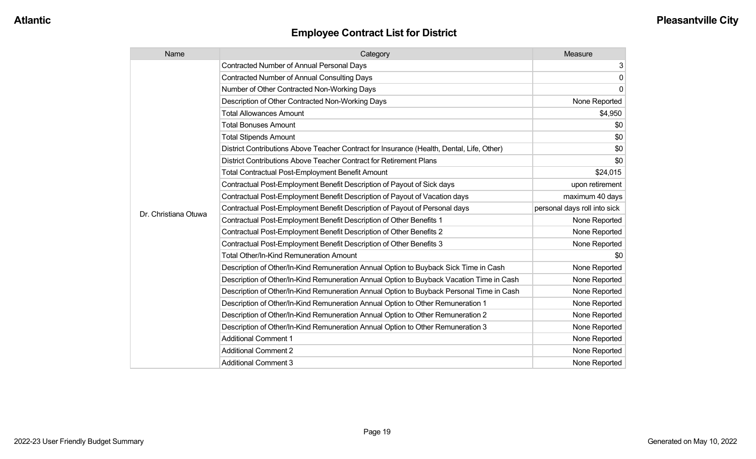| Name                 | Category                                                                                  | Measure                      |
|----------------------|-------------------------------------------------------------------------------------------|------------------------------|
|                      | <b>Contracted Number of Annual Personal Days</b>                                          | 3                            |
|                      | <b>Contracted Number of Annual Consulting Days</b>                                        | 0                            |
|                      | Number of Other Contracted Non-Working Days                                               | $\overline{0}$               |
|                      | Description of Other Contracted Non-Working Days                                          | None Reported                |
|                      | <b>Total Allowances Amount</b>                                                            | \$4,950                      |
|                      | <b>Total Bonuses Amount</b>                                                               | \$0                          |
|                      | <b>Total Stipends Amount</b>                                                              | \$0                          |
|                      | District Contributions Above Teacher Contract for Insurance (Health, Dental, Life, Other) | \$0                          |
|                      | District Contributions Above Teacher Contract for Retirement Plans                        | \$0                          |
|                      | <b>Total Contractual Post-Employment Benefit Amount</b>                                   | \$24,015                     |
|                      | Contractual Post-Employment Benefit Description of Payout of Sick days                    | upon retirement              |
|                      | Contractual Post-Employment Benefit Description of Payout of Vacation days                | maximum 40 days              |
| Dr. Christiana Otuwa | Contractual Post-Employment Benefit Description of Payout of Personal days                | personal days roll into sick |
|                      | Contractual Post-Employment Benefit Description of Other Benefits 1                       | None Reported                |
|                      | Contractual Post-Employment Benefit Description of Other Benefits 2                       | None Reported                |
|                      | Contractual Post-Employment Benefit Description of Other Benefits 3                       | None Reported                |
|                      | <b>Total Other/In-Kind Remuneration Amount</b>                                            | \$0                          |
|                      | Description of Other/In-Kind Remuneration Annual Option to Buyback Sick Time in Cash      | None Reported                |
|                      | Description of Other/In-Kind Remuneration Annual Option to Buyback Vacation Time in Cash  | None Reported                |
|                      | Description of Other/In-Kind Remuneration Annual Option to Buyback Personal Time in Cash  | None Reported                |
|                      | Description of Other/In-Kind Remuneration Annual Option to Other Remuneration 1           | None Reported                |
|                      | Description of Other/In-Kind Remuneration Annual Option to Other Remuneration 2           | None Reported                |
|                      | Description of Other/In-Kind Remuneration Annual Option to Other Remuneration 3           | None Reported                |
|                      | <b>Additional Comment 1</b>                                                               | None Reported                |
|                      | <b>Additional Comment 2</b>                                                               | None Reported                |
|                      | <b>Additional Comment 3</b>                                                               | None Reported                |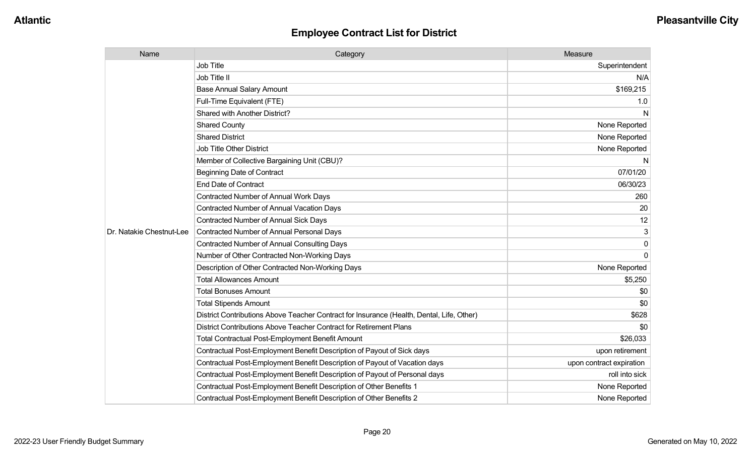| Name                     | Category                                                                                  | Measure                  |
|--------------------------|-------------------------------------------------------------------------------------------|--------------------------|
|                          | <b>Job Title</b>                                                                          | Superintendent           |
|                          | Job Title II                                                                              | N/A                      |
|                          | <b>Base Annual Salary Amount</b>                                                          | \$169,215                |
|                          | Full-Time Equivalent (FTE)                                                                | 1.0                      |
|                          | Shared with Another District?                                                             | N                        |
|                          | <b>Shared County</b>                                                                      | None Reported            |
|                          | <b>Shared District</b>                                                                    | None Reported            |
|                          | <b>Job Title Other District</b>                                                           | None Reported            |
|                          | Member of Collective Bargaining Unit (CBU)?                                               | N                        |
|                          | <b>Beginning Date of Contract</b>                                                         | 07/01/20                 |
|                          | <b>End Date of Contract</b>                                                               | 06/30/23                 |
|                          | <b>Contracted Number of Annual Work Days</b>                                              | 260                      |
|                          | <b>Contracted Number of Annual Vacation Days</b>                                          | 20                       |
|                          | <b>Contracted Number of Annual Sick Days</b>                                              | 12                       |
| Dr. Natakie Chestnut-Lee | Contracted Number of Annual Personal Days                                                 | 3                        |
|                          | <b>Contracted Number of Annual Consulting Days</b>                                        | $\mathbf 0$              |
|                          | Number of Other Contracted Non-Working Days                                               | $\Omega$                 |
|                          | Description of Other Contracted Non-Working Days                                          | None Reported            |
|                          | <b>Total Allowances Amount</b>                                                            | \$5,250                  |
|                          | <b>Total Bonuses Amount</b>                                                               | \$0                      |
|                          | <b>Total Stipends Amount</b>                                                              | \$0                      |
|                          | District Contributions Above Teacher Contract for Insurance (Health, Dental, Life, Other) | \$628                    |
|                          | District Contributions Above Teacher Contract for Retirement Plans                        | \$0                      |
|                          | <b>Total Contractual Post-Employment Benefit Amount</b>                                   | \$26,033                 |
|                          | Contractual Post-Employment Benefit Description of Payout of Sick days                    | upon retirement          |
|                          | Contractual Post-Employment Benefit Description of Payout of Vacation days                | upon contract expiration |
|                          | Contractual Post-Employment Benefit Description of Payout of Personal days                | roll into sick           |
|                          | Contractual Post-Employment Benefit Description of Other Benefits 1                       | None Reported            |
|                          | Contractual Post-Employment Benefit Description of Other Benefits 2                       | None Reported            |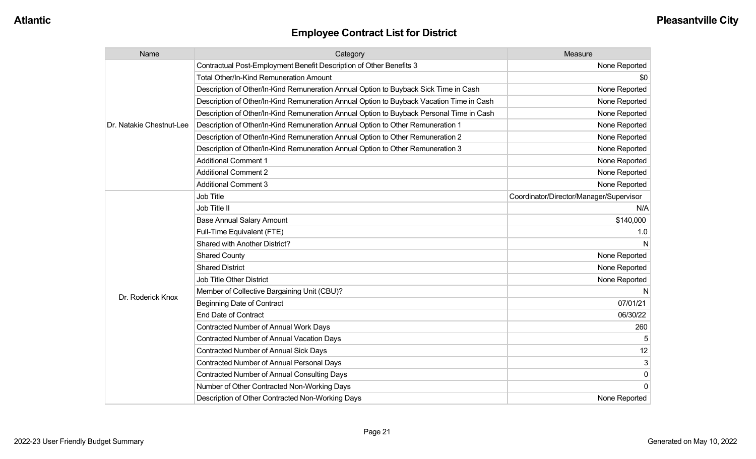| Name                     | Category                                                                                 | Measure                                 |
|--------------------------|------------------------------------------------------------------------------------------|-----------------------------------------|
|                          | Contractual Post-Employment Benefit Description of Other Benefits 3                      | None Reported                           |
|                          | <b>Total Other/In-Kind Remuneration Amount</b>                                           | \$0                                     |
|                          | Description of Other/In-Kind Remuneration Annual Option to Buyback Sick Time in Cash     | None Reported                           |
|                          | Description of Other/In-Kind Remuneration Annual Option to Buyback Vacation Time in Cash | None Reported                           |
|                          | Description of Other/In-Kind Remuneration Annual Option to Buyback Personal Time in Cash | None Reported                           |
| Dr. Natakie Chestnut-Lee | Description of Other/In-Kind Remuneration Annual Option to Other Remuneration 1          | None Reported                           |
|                          | Description of Other/In-Kind Remuneration Annual Option to Other Remuneration 2          | None Reported                           |
|                          | Description of Other/In-Kind Remuneration Annual Option to Other Remuneration 3          | None Reported                           |
|                          | <b>Additional Comment 1</b>                                                              | None Reported                           |
|                          | <b>Additional Comment 2</b>                                                              | None Reported                           |
|                          | <b>Additional Comment 3</b>                                                              | None Reported                           |
|                          | Job Title                                                                                | Coordinator/Director/Manager/Supervisor |
|                          | Job Title II                                                                             | N/A                                     |
|                          | <b>Base Annual Salary Amount</b>                                                         | \$140,000                               |
|                          | Full-Time Equivalent (FTE)                                                               | 1.0                                     |
|                          | <b>Shared with Another District?</b>                                                     |                                         |
|                          | <b>Shared County</b>                                                                     | None Reported                           |
|                          | <b>Shared District</b>                                                                   | None Reported                           |
|                          | <b>Job Title Other District</b>                                                          | None Reported                           |
| Dr. Roderick Knox        | Member of Collective Bargaining Unit (CBU)?                                              | N                                       |
|                          | <b>Beginning Date of Contract</b>                                                        | 07/01/21                                |
|                          | <b>End Date of Contract</b>                                                              | 06/30/22                                |
|                          | <b>Contracted Number of Annual Work Days</b>                                             | 260                                     |
|                          | <b>Contracted Number of Annual Vacation Days</b>                                         |                                         |
|                          | Contracted Number of Annual Sick Days                                                    | 12                                      |
|                          | <b>Contracted Number of Annual Personal Days</b>                                         | 3                                       |
|                          | <b>Contracted Number of Annual Consulting Days</b>                                       | 0                                       |
|                          | Number of Other Contracted Non-Working Days                                              | $\Omega$                                |
|                          | Description of Other Contracted Non-Working Days                                         | None Reported                           |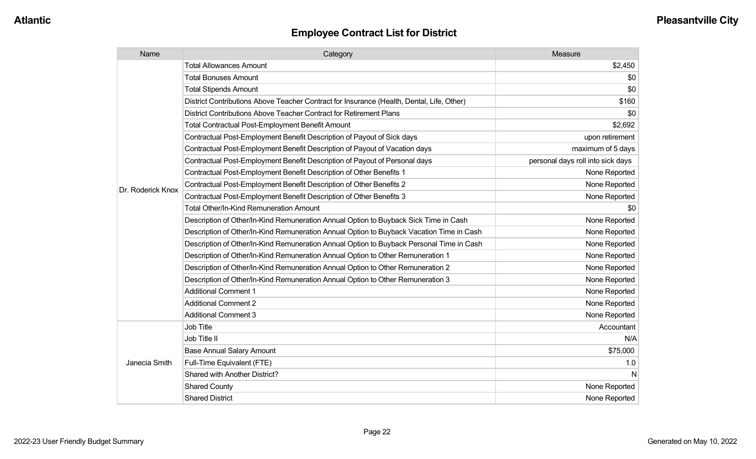| Name              | Category                                                                                  | Measure                           |
|-------------------|-------------------------------------------------------------------------------------------|-----------------------------------|
|                   | <b>Total Allowances Amount</b>                                                            | \$2,450                           |
|                   | <b>Total Bonuses Amount</b>                                                               | \$0                               |
|                   | <b>Total Stipends Amount</b>                                                              | \$0                               |
|                   | District Contributions Above Teacher Contract for Insurance (Health, Dental, Life, Other) | \$160                             |
|                   | District Contributions Above Teacher Contract for Retirement Plans                        | \$0                               |
|                   | <b>Total Contractual Post-Employment Benefit Amount</b>                                   | \$2,692                           |
|                   | Contractual Post-Employment Benefit Description of Payout of Sick days                    | upon retirement                   |
|                   | Contractual Post-Employment Benefit Description of Payout of Vacation days                | maximum of 5 days                 |
|                   | Contractual Post-Employment Benefit Description of Payout of Personal days                | personal days roll into sick days |
|                   | Contractual Post-Employment Benefit Description of Other Benefits 1                       | None Reported                     |
| Dr. Roderick Knox | Contractual Post-Employment Benefit Description of Other Benefits 2                       | None Reported                     |
|                   | Contractual Post-Employment Benefit Description of Other Benefits 3                       | None Reported                     |
|                   | <b>Total Other/In-Kind Remuneration Amount</b>                                            | \$0                               |
|                   | Description of Other/In-Kind Remuneration Annual Option to Buyback Sick Time in Cash      | None Reported                     |
|                   | Description of Other/In-Kind Remuneration Annual Option to Buyback Vacation Time in Cash  | None Reported                     |
|                   | Description of Other/In-Kind Remuneration Annual Option to Buyback Personal Time in Cash  | None Reported                     |
|                   | Description of Other/In-Kind Remuneration Annual Option to Other Remuneration 1           | None Reported                     |
|                   | Description of Other/In-Kind Remuneration Annual Option to Other Remuneration 2           | None Reported                     |
|                   | Description of Other/In-Kind Remuneration Annual Option to Other Remuneration 3           | None Reported                     |
|                   | <b>Additional Comment 1</b>                                                               | None Reported                     |
|                   | <b>Additional Comment 2</b>                                                               | None Reported                     |
|                   | <b>Additional Comment 3</b>                                                               | None Reported                     |
|                   | Job Title                                                                                 | Accountant                        |
| Janecia Smith     | Job Title II                                                                              | N/A                               |
|                   | <b>Base Annual Salary Amount</b>                                                          | \$75,000                          |
|                   | Full-Time Equivalent (FTE)                                                                | 1.0                               |
|                   | Shared with Another District?                                                             | N                                 |
|                   | <b>Shared County</b>                                                                      | None Reported                     |
|                   | <b>Shared District</b>                                                                    | None Reported                     |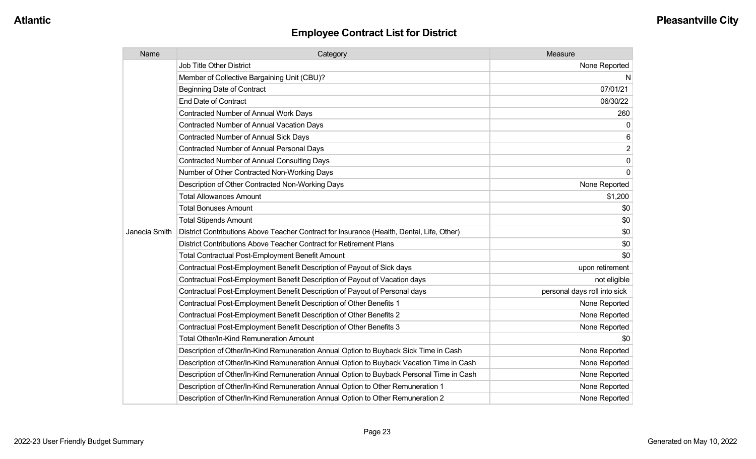| Name          | Category                                                                                  | Measure                      |
|---------------|-------------------------------------------------------------------------------------------|------------------------------|
|               | <b>Job Title Other District</b>                                                           | None Reported                |
|               | Member of Collective Bargaining Unit (CBU)?                                               | N                            |
|               | <b>Beginning Date of Contract</b>                                                         | 07/01/21                     |
|               | <b>End Date of Contract</b>                                                               | 06/30/22                     |
|               | Contracted Number of Annual Work Days                                                     | 260                          |
|               | <b>Contracted Number of Annual Vacation Days</b>                                          | 0                            |
|               | Contracted Number of Annual Sick Days                                                     | 6                            |
|               | Contracted Number of Annual Personal Days                                                 | $\overline{c}$               |
|               | <b>Contracted Number of Annual Consulting Days</b>                                        | $\overline{0}$               |
|               | Number of Other Contracted Non-Working Days                                               | 0                            |
|               | Description of Other Contracted Non-Working Days                                          | None Reported                |
|               | <b>Total Allowances Amount</b>                                                            | \$1,200                      |
|               | <b>Total Bonuses Amount</b>                                                               | \$0                          |
|               | <b>Total Stipends Amount</b>                                                              | \$0                          |
| Janecia Smith | District Contributions Above Teacher Contract for Insurance (Health, Dental, Life, Other) | \$0                          |
|               | District Contributions Above Teacher Contract for Retirement Plans                        | \$0                          |
|               | <b>Total Contractual Post-Employment Benefit Amount</b>                                   | \$0                          |
|               | Contractual Post-Employment Benefit Description of Payout of Sick days                    | upon retirement              |
|               | Contractual Post-Employment Benefit Description of Payout of Vacation days                | not eligible                 |
|               | Contractual Post-Employment Benefit Description of Payout of Personal days                | personal days roll into sick |
|               | Contractual Post-Employment Benefit Description of Other Benefits 1                       | None Reported                |
|               | Contractual Post-Employment Benefit Description of Other Benefits 2                       | None Reported                |
|               | Contractual Post-Employment Benefit Description of Other Benefits 3                       | None Reported                |
|               | <b>Total Other/In-Kind Remuneration Amount</b>                                            | \$0                          |
|               | Description of Other/In-Kind Remuneration Annual Option to Buyback Sick Time in Cash      | None Reported                |
|               | Description of Other/In-Kind Remuneration Annual Option to Buyback Vacation Time in Cash  | None Reported                |
|               | Description of Other/In-Kind Remuneration Annual Option to Buyback Personal Time in Cash  | None Reported                |
|               | Description of Other/In-Kind Remuneration Annual Option to Other Remuneration 1           | None Reported                |
|               | Description of Other/In-Kind Remuneration Annual Option to Other Remuneration 2           | None Reported                |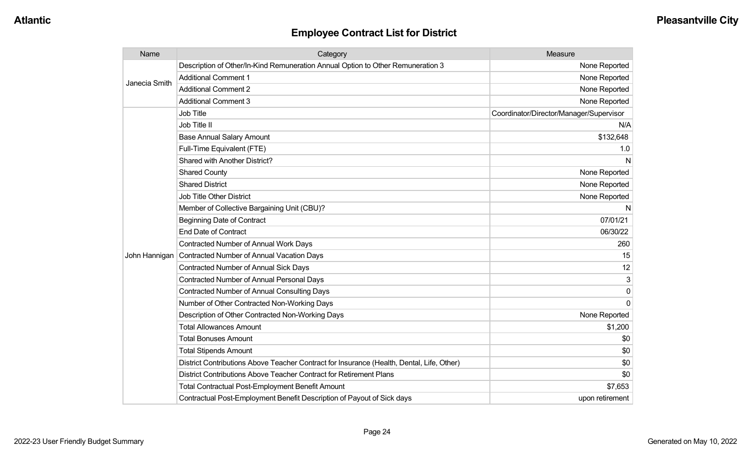| Name          | Category                                                                                  | Measure                                 |
|---------------|-------------------------------------------------------------------------------------------|-----------------------------------------|
| Janecia Smith | Description of Other/In-Kind Remuneration Annual Option to Other Remuneration 3           | None Reported                           |
|               | <b>Additional Comment 1</b>                                                               | None Reported                           |
|               | <b>Additional Comment 2</b>                                                               | None Reported                           |
|               | <b>Additional Comment 3</b>                                                               | None Reported                           |
|               | Job Title                                                                                 | Coordinator/Director/Manager/Supervisor |
|               | Job Title II                                                                              | N/A                                     |
|               | <b>Base Annual Salary Amount</b>                                                          | \$132,648                               |
|               | Full-Time Equivalent (FTE)                                                                | 1.0                                     |
|               | Shared with Another District?                                                             | N                                       |
|               | <b>Shared County</b>                                                                      | None Reported                           |
|               | <b>Shared District</b>                                                                    | None Reported                           |
|               | Job Title Other District                                                                  | None Reported                           |
|               | Member of Collective Bargaining Unit (CBU)?                                               | N                                       |
|               | <b>Beginning Date of Contract</b>                                                         | 07/01/21                                |
|               | <b>End Date of Contract</b>                                                               | 06/30/22                                |
|               | Contracted Number of Annual Work Days                                                     | 260                                     |
| John Hannigan | Contracted Number of Annual Vacation Days                                                 | 15                                      |
|               | Contracted Number of Annual Sick Days                                                     | 12                                      |
|               | Contracted Number of Annual Personal Days                                                 | 3                                       |
|               | <b>Contracted Number of Annual Consulting Days</b>                                        | 0                                       |
|               | Number of Other Contracted Non-Working Days                                               | $\Omega$                                |
|               | Description of Other Contracted Non-Working Days                                          | None Reported                           |
|               | <b>Total Allowances Amount</b>                                                            | \$1,200                                 |
|               | <b>Total Bonuses Amount</b>                                                               | \$0                                     |
|               | <b>Total Stipends Amount</b>                                                              | \$0                                     |
|               | District Contributions Above Teacher Contract for Insurance (Health, Dental, Life, Other) | \$0                                     |
|               | District Contributions Above Teacher Contract for Retirement Plans                        | \$0                                     |
|               | <b>Total Contractual Post-Employment Benefit Amount</b>                                   | \$7,653                                 |
|               | Contractual Post-Employment Benefit Description of Payout of Sick days                    | upon retirement                         |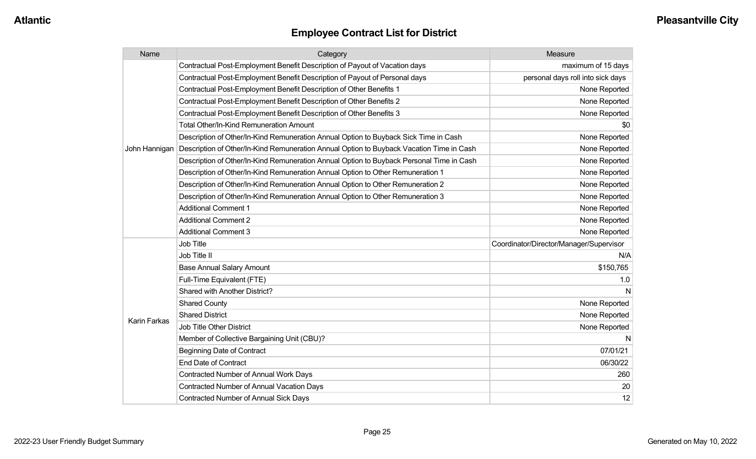| Name          | Category                                                                                 | Measure                                 |
|---------------|------------------------------------------------------------------------------------------|-----------------------------------------|
|               | Contractual Post-Employment Benefit Description of Payout of Vacation days               | maximum of 15 days                      |
|               | Contractual Post-Employment Benefit Description of Payout of Personal days               | personal days roll into sick days       |
|               | Contractual Post-Employment Benefit Description of Other Benefits 1                      | None Reported                           |
|               | Contractual Post-Employment Benefit Description of Other Benefits 2                      | None Reported                           |
|               | Contractual Post-Employment Benefit Description of Other Benefits 3                      | None Reported                           |
|               | Total Other/In-Kind Remuneration Amount                                                  | \$0                                     |
|               | Description of Other/In-Kind Remuneration Annual Option to Buyback Sick Time in Cash     | None Reported                           |
| John Hannigan | Description of Other/In-Kind Remuneration Annual Option to Buyback Vacation Time in Cash | None Reported                           |
|               | Description of Other/In-Kind Remuneration Annual Option to Buyback Personal Time in Cash | None Reported                           |
|               | Description of Other/In-Kind Remuneration Annual Option to Other Remuneration 1          | None Reported                           |
|               | Description of Other/In-Kind Remuneration Annual Option to Other Remuneration 2          | None Reported                           |
|               | Description of Other/In-Kind Remuneration Annual Option to Other Remuneration 3          | None Reported                           |
|               | <b>Additional Comment 1</b>                                                              | None Reported                           |
|               | <b>Additional Comment 2</b>                                                              | None Reported                           |
|               | <b>Additional Comment 3</b>                                                              | None Reported                           |
|               | <b>Job Title</b>                                                                         | Coordinator/Director/Manager/Supervisor |
|               | Job Title II                                                                             | N/A                                     |
|               | <b>Base Annual Salary Amount</b>                                                         | \$150,765                               |
|               | Full-Time Equivalent (FTE)                                                               | 1.0                                     |
|               | <b>Shared with Another District?</b>                                                     |                                         |
|               | <b>Shared County</b>                                                                     | None Reported                           |
|               | <b>Shared District</b>                                                                   | None Reported                           |
| Karin Farkas  | <b>Job Title Other District</b>                                                          | None Reported                           |
|               | Member of Collective Bargaining Unit (CBU)?                                              |                                         |
|               | <b>Beginning Date of Contract</b>                                                        | 07/01/21                                |
|               | <b>End Date of Contract</b>                                                              | 06/30/22                                |
|               | Contracted Number of Annual Work Days                                                    | 260                                     |
|               | Contracted Number of Annual Vacation Days                                                | 20                                      |
|               | <b>Contracted Number of Annual Sick Days</b>                                             | 12                                      |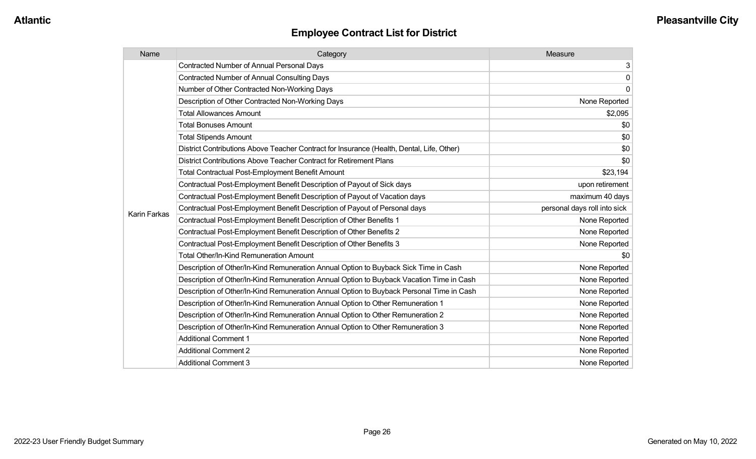| Name                | Category                                                                                  | Measure                      |
|---------------------|-------------------------------------------------------------------------------------------|------------------------------|
|                     | <b>Contracted Number of Annual Personal Days</b>                                          | 3 <sup>1</sup>               |
|                     | <b>Contracted Number of Annual Consulting Days</b>                                        | $\overline{0}$               |
|                     | Number of Other Contracted Non-Working Days                                               | $\overline{0}$               |
|                     | Description of Other Contracted Non-Working Days                                          | None Reported                |
|                     | <b>Total Allowances Amount</b>                                                            | \$2,095                      |
|                     | <b>Total Bonuses Amount</b>                                                               | \$0                          |
|                     | <b>Total Stipends Amount</b>                                                              | \$0                          |
|                     | District Contributions Above Teacher Contract for Insurance (Health, Dental, Life, Other) | \$0                          |
|                     | District Contributions Above Teacher Contract for Retirement Plans                        | \$0                          |
|                     | <b>Total Contractual Post-Employment Benefit Amount</b>                                   | \$23,194                     |
|                     | Contractual Post-Employment Benefit Description of Payout of Sick days                    | upon retirement              |
|                     | Contractual Post-Employment Benefit Description of Payout of Vacation days                | maximum 40 days              |
| <b>Karin Farkas</b> | Contractual Post-Employment Benefit Description of Payout of Personal days                | personal days roll into sick |
|                     | Contractual Post-Employment Benefit Description of Other Benefits 1                       | None Reported                |
|                     | Contractual Post-Employment Benefit Description of Other Benefits 2                       | None Reported                |
|                     | Contractual Post-Employment Benefit Description of Other Benefits 3                       | None Reported                |
|                     | Total Other/In-Kind Remuneration Amount                                                   | \$0                          |
|                     | Description of Other/In-Kind Remuneration Annual Option to Buyback Sick Time in Cash      | None Reported                |
|                     | Description of Other/In-Kind Remuneration Annual Option to Buyback Vacation Time in Cash  | None Reported                |
|                     | Description of Other/In-Kind Remuneration Annual Option to Buyback Personal Time in Cash  | None Reported                |
|                     | Description of Other/In-Kind Remuneration Annual Option to Other Remuneration 1           | None Reported                |
|                     | Description of Other/In-Kind Remuneration Annual Option to Other Remuneration 2           | None Reported                |
|                     | Description of Other/In-Kind Remuneration Annual Option to Other Remuneration 3           | None Reported                |
|                     | <b>Additional Comment 1</b>                                                               | None Reported                |
|                     | <b>Additional Comment 2</b>                                                               | None Reported                |
|                     | <b>Additional Comment 3</b>                                                               | None Reported                |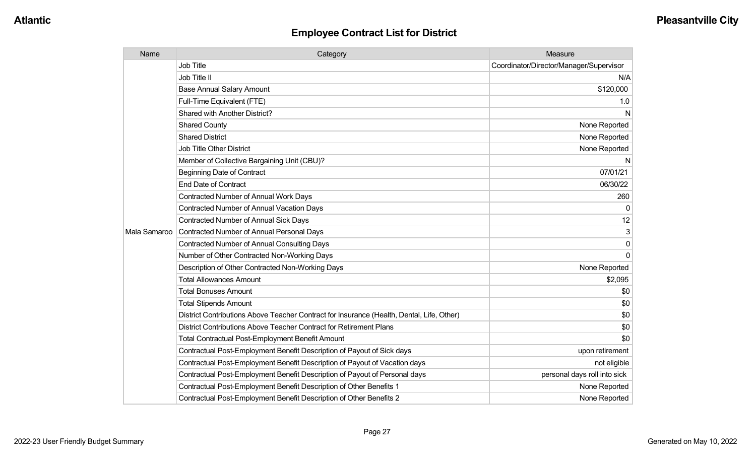| Name         | Category                                                                                  | Measure                                 |
|--------------|-------------------------------------------------------------------------------------------|-----------------------------------------|
|              | <b>Job Title</b>                                                                          | Coordinator/Director/Manager/Supervisor |
|              | Job Title II                                                                              | N/A                                     |
|              | <b>Base Annual Salary Amount</b>                                                          | \$120,000                               |
|              | Full-Time Equivalent (FTE)                                                                | 1.0                                     |
|              | <b>Shared with Another District?</b>                                                      | N                                       |
|              | <b>Shared County</b>                                                                      | None Reported                           |
|              | <b>Shared District</b>                                                                    | None Reported                           |
|              | <b>Job Title Other District</b>                                                           | None Reported                           |
|              | Member of Collective Bargaining Unit (CBU)?                                               | N                                       |
|              | <b>Beginning Date of Contract</b>                                                         | 07/01/21                                |
|              | <b>End Date of Contract</b>                                                               | 06/30/22                                |
|              | <b>Contracted Number of Annual Work Days</b>                                              | 260                                     |
|              | <b>Contracted Number of Annual Vacation Days</b>                                          | $\Omega$                                |
|              | <b>Contracted Number of Annual Sick Days</b>                                              | 12                                      |
| Mala Samaroo | Contracted Number of Annual Personal Days                                                 | 3                                       |
|              | <b>Contracted Number of Annual Consulting Days</b>                                        | $\Omega$                                |
|              | Number of Other Contracted Non-Working Days                                               | $\Omega$                                |
|              | Description of Other Contracted Non-Working Days                                          | None Reported                           |
|              | <b>Total Allowances Amount</b>                                                            | \$2,095                                 |
|              | <b>Total Bonuses Amount</b>                                                               | \$0                                     |
|              | <b>Total Stipends Amount</b>                                                              | \$0                                     |
|              | District Contributions Above Teacher Contract for Insurance (Health, Dental, Life, Other) | \$0                                     |
|              | District Contributions Above Teacher Contract for Retirement Plans                        | \$0                                     |
|              | Total Contractual Post-Employment Benefit Amount                                          | \$0                                     |
|              | Contractual Post-Employment Benefit Description of Payout of Sick days                    | upon retirement                         |
|              | Contractual Post-Employment Benefit Description of Payout of Vacation days                | not eligible                            |
|              | Contractual Post-Employment Benefit Description of Payout of Personal days                | personal days roll into sick            |
|              | Contractual Post-Employment Benefit Description of Other Benefits 1                       | None Reported                           |
|              | Contractual Post-Employment Benefit Description of Other Benefits 2                       | None Reported                           |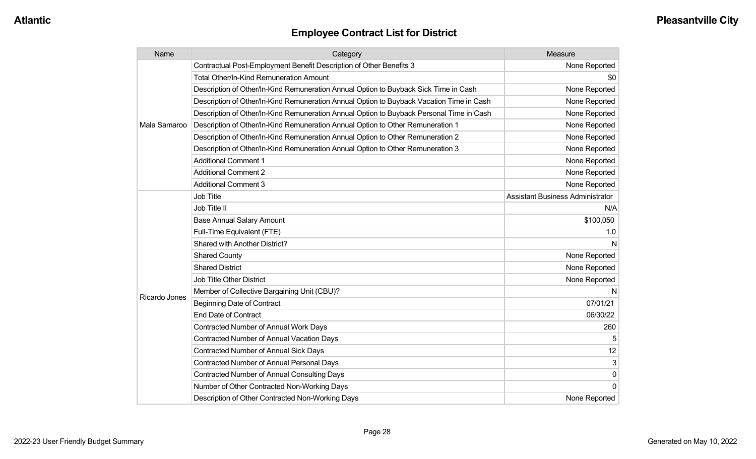| Name          | Category                                                                                 | Measure                                 |
|---------------|------------------------------------------------------------------------------------------|-----------------------------------------|
|               | Contractual Post-Employment Benefit Description of Other Benefits 3                      | None Reported                           |
|               | <b>Total Other/In-Kind Remuneration Amount</b>                                           | \$0                                     |
|               | Description of Other/In-Kind Remuneration Annual Option to Buyback Sick Time in Cash     | None Reported                           |
|               | Description of Other/In-Kind Remuneration Annual Option to Buyback Vacation Time in Cash | None Reported                           |
|               | Description of Other/In-Kind Remuneration Annual Option to Buyback Personal Time in Cash | None Reported                           |
| Mala Samaroo  | Description of Other/In-Kind Remuneration Annual Option to Other Remuneration 1          | None Reported                           |
|               | Description of Other/In-Kind Remuneration Annual Option to Other Remuneration 2          | None Reported                           |
|               | Description of Other/In-Kind Remuneration Annual Option to Other Remuneration 3          | None Reported                           |
|               | <b>Additional Comment 1</b>                                                              | None Reported                           |
|               | <b>Additional Comment 2</b>                                                              | None Reported                           |
|               | <b>Additional Comment 3</b>                                                              | None Reported                           |
|               | Job Title                                                                                | <b>Assistant Business Administrator</b> |
|               | Job Title II                                                                             | N/A                                     |
|               | <b>Base Annual Salary Amount</b>                                                         | \$100,050                               |
|               | Full-Time Equivalent (FTE)                                                               | 1.0                                     |
|               | Shared with Another District?                                                            | N                                       |
|               | <b>Shared County</b>                                                                     | None Reported                           |
|               | <b>Shared District</b>                                                                   | None Reported                           |
|               | Job Title Other District                                                                 | None Reported                           |
|               | Member of Collective Bargaining Unit (CBU)?                                              | N                                       |
| Ricardo Jones | <b>Beginning Date of Contract</b>                                                        | 07/01/21                                |
|               | <b>End Date of Contract</b>                                                              | 06/30/22                                |
|               | <b>Contracted Number of Annual Work Days</b>                                             | 260                                     |
|               | <b>Contracted Number of Annual Vacation Days</b>                                         |                                         |
|               | <b>Contracted Number of Annual Sick Days</b>                                             | 12                                      |
|               | <b>Contracted Number of Annual Personal Days</b>                                         | 3                                       |
|               | Contracted Number of Annual Consulting Days                                              | $\mathbf 0$                             |
|               | Number of Other Contracted Non-Working Days                                              | $\Omega$                                |
|               | Description of Other Contracted Non-Working Days                                         | None Reported                           |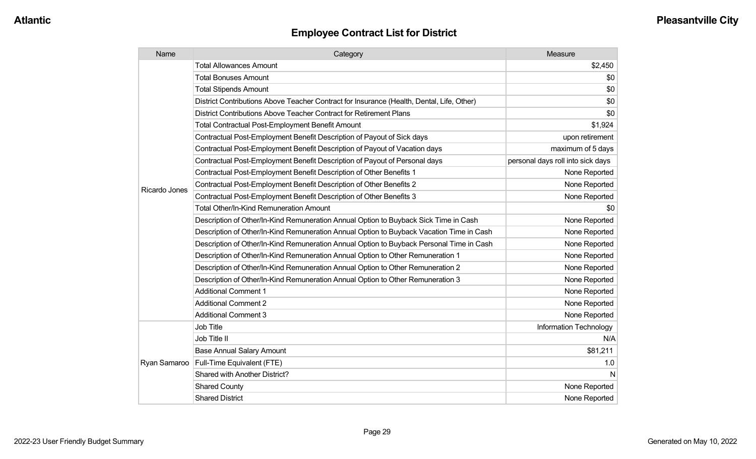| Name          | Category                                                                                  | Measure                           |
|---------------|-------------------------------------------------------------------------------------------|-----------------------------------|
|               | <b>Total Allowances Amount</b>                                                            | \$2,450                           |
|               | <b>Total Bonuses Amount</b>                                                               | \$0                               |
|               | <b>Total Stipends Amount</b>                                                              | \$0                               |
|               | District Contributions Above Teacher Contract for Insurance (Health, Dental, Life, Other) | \$0                               |
|               | District Contributions Above Teacher Contract for Retirement Plans                        | \$0                               |
|               | <b>Total Contractual Post-Employment Benefit Amount</b>                                   | \$1,924                           |
|               | Contractual Post-Employment Benefit Description of Payout of Sick days                    | upon retirement                   |
|               | Contractual Post-Employment Benefit Description of Payout of Vacation days                | maximum of 5 days                 |
|               | Contractual Post-Employment Benefit Description of Payout of Personal days                | personal days roll into sick days |
|               | Contractual Post-Employment Benefit Description of Other Benefits 1                       | None Reported                     |
| Ricardo Jones | Contractual Post-Employment Benefit Description of Other Benefits 2                       | None Reported                     |
|               | Contractual Post-Employment Benefit Description of Other Benefits 3                       | None Reported                     |
|               | Total Other/In-Kind Remuneration Amount                                                   | \$0                               |
|               | Description of Other/In-Kind Remuneration Annual Option to Buyback Sick Time in Cash      | None Reported                     |
|               | Description of Other/In-Kind Remuneration Annual Option to Buyback Vacation Time in Cash  | None Reported                     |
|               | Description of Other/In-Kind Remuneration Annual Option to Buyback Personal Time in Cash  | None Reported                     |
|               | Description of Other/In-Kind Remuneration Annual Option to Other Remuneration 1           | None Reported                     |
|               | Description of Other/In-Kind Remuneration Annual Option to Other Remuneration 2           | None Reported                     |
|               | Description of Other/In-Kind Remuneration Annual Option to Other Remuneration 3           | None Reported                     |
|               | <b>Additional Comment 1</b>                                                               | None Reported                     |
|               | <b>Additional Comment 2</b>                                                               | None Reported                     |
|               | <b>Additional Comment 3</b>                                                               | None Reported                     |
|               | <b>Job Title</b>                                                                          | Information Technology            |
| Ryan Samaroo  | Job Title II                                                                              | N/A                               |
|               | <b>Base Annual Salary Amount</b>                                                          | \$81,211                          |
|               | Full-Time Equivalent (FTE)                                                                | 1.0                               |
|               | Shared with Another District?                                                             | N                                 |
|               | <b>Shared County</b>                                                                      | None Reported                     |
|               | <b>Shared District</b>                                                                    | None Reported                     |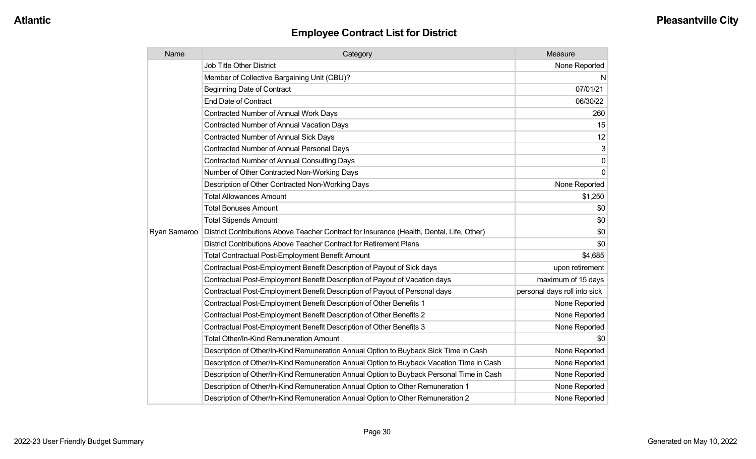| Name         | Category                                                                                  | Measure                      |
|--------------|-------------------------------------------------------------------------------------------|------------------------------|
|              | <b>Job Title Other District</b>                                                           | None Reported                |
|              | Member of Collective Bargaining Unit (CBU)?                                               | N                            |
|              | Beginning Date of Contract                                                                | 07/01/21                     |
|              | <b>End Date of Contract</b>                                                               | 06/30/22                     |
|              | <b>Contracted Number of Annual Work Days</b>                                              | 260                          |
|              | Contracted Number of Annual Vacation Days                                                 | 15                           |
|              | <b>Contracted Number of Annual Sick Days</b>                                              | 12                           |
|              | Contracted Number of Annual Personal Days                                                 | 3                            |
|              | <b>Contracted Number of Annual Consulting Days</b>                                        | $\mathbf 0$                  |
|              | Number of Other Contracted Non-Working Days                                               | $\Omega$                     |
|              | Description of Other Contracted Non-Working Days                                          | None Reported                |
|              | <b>Total Allowances Amount</b>                                                            | \$1,250                      |
|              | <b>Total Bonuses Amount</b>                                                               | \$0                          |
|              | <b>Total Stipends Amount</b>                                                              | \$0                          |
| Ryan Samaroo | District Contributions Above Teacher Contract for Insurance (Health, Dental, Life, Other) | \$0                          |
|              | District Contributions Above Teacher Contract for Retirement Plans                        | \$0                          |
|              | <b>Total Contractual Post-Employment Benefit Amount</b>                                   | \$4,685                      |
|              | Contractual Post-Employment Benefit Description of Payout of Sick days                    | upon retirement              |
|              | Contractual Post-Employment Benefit Description of Payout of Vacation days                | maximum of 15 days           |
|              | Contractual Post-Employment Benefit Description of Payout of Personal days                | personal days roll into sick |
|              | Contractual Post-Employment Benefit Description of Other Benefits 1                       | None Reported                |
|              | Contractual Post-Employment Benefit Description of Other Benefits 2                       | None Reported                |
|              | Contractual Post-Employment Benefit Description of Other Benefits 3                       | None Reported                |
|              | Total Other/In-Kind Remuneration Amount                                                   | \$0                          |
|              | Description of Other/In-Kind Remuneration Annual Option to Buyback Sick Time in Cash      | None Reported                |
|              | Description of Other/In-Kind Remuneration Annual Option to Buyback Vacation Time in Cash  | None Reported                |
|              | Description of Other/In-Kind Remuneration Annual Option to Buyback Personal Time in Cash  | None Reported                |
|              | Description of Other/In-Kind Remuneration Annual Option to Other Remuneration 1           | None Reported                |
|              | Description of Other/In-Kind Remuneration Annual Option to Other Remuneration 2           | None Reported                |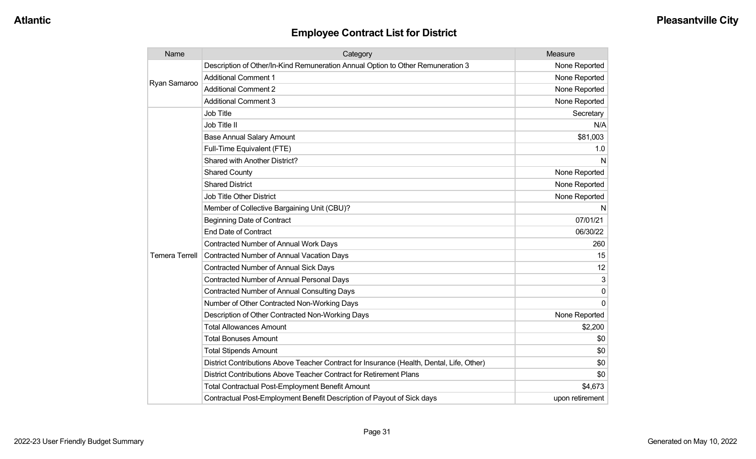| Name                  | Category                                                                                  | Measure         |
|-----------------------|-------------------------------------------------------------------------------------------|-----------------|
| Ryan Samaroo          | Description of Other/In-Kind Remuneration Annual Option to Other Remuneration 3           | None Reported   |
|                       | <b>Additional Comment 1</b>                                                               | None Reported   |
|                       | <b>Additional Comment 2</b>                                                               | None Reported   |
|                       | <b>Additional Comment 3</b>                                                               | None Reported   |
|                       | Job Title                                                                                 | Secretary       |
|                       | Job Title II                                                                              | N/A             |
|                       | <b>Base Annual Salary Amount</b>                                                          | \$81,003        |
|                       | Full-Time Equivalent (FTE)                                                                | 1.0             |
|                       | <b>Shared with Another District?</b>                                                      | N               |
|                       | <b>Shared County</b>                                                                      | None Reported   |
|                       | <b>Shared District</b>                                                                    | None Reported   |
|                       | <b>Job Title Other District</b>                                                           | None Reported   |
|                       | Member of Collective Bargaining Unit (CBU)?                                               | N               |
|                       | <b>Beginning Date of Contract</b>                                                         | 07/01/21        |
|                       | <b>End Date of Contract</b>                                                               | 06/30/22        |
|                       | Contracted Number of Annual Work Days                                                     | 260             |
| <b>Temera Terrell</b> | <b>Contracted Number of Annual Vacation Days</b>                                          | 15              |
|                       | Contracted Number of Annual Sick Days                                                     | 12              |
|                       | Contracted Number of Annual Personal Days                                                 | 3               |
|                       | <b>Contracted Number of Annual Consulting Days</b>                                        | 0               |
|                       | Number of Other Contracted Non-Working Days                                               | $\Omega$        |
|                       | Description of Other Contracted Non-Working Days                                          | None Reported   |
|                       | <b>Total Allowances Amount</b>                                                            | \$2,200         |
|                       | <b>Total Bonuses Amount</b>                                                               | \$0             |
|                       | <b>Total Stipends Amount</b>                                                              | \$0             |
|                       | District Contributions Above Teacher Contract for Insurance (Health, Dental, Life, Other) | \$0             |
|                       | District Contributions Above Teacher Contract for Retirement Plans                        | \$0             |
|                       | <b>Total Contractual Post-Employment Benefit Amount</b>                                   | \$4,673         |
|                       | Contractual Post-Employment Benefit Description of Payout of Sick days                    | upon retirement |